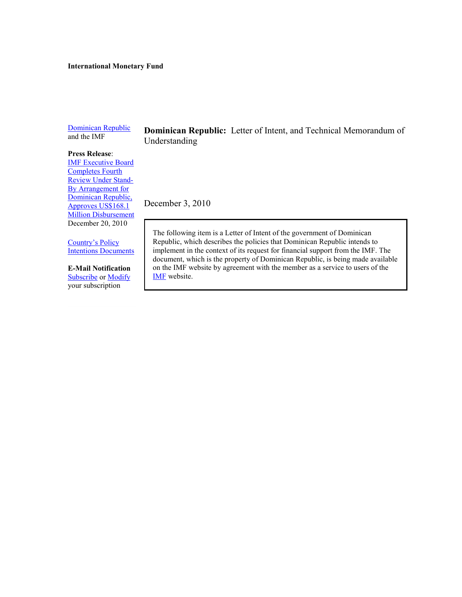#### **International Monetary Fund**

[Dominican Republic](http://www.imf.org/external/country/DOM/index.htm) and the IMF

**Dominican Republic:** Letter of Intent, and Technical Memorandum of Understanding

#### **Press Release**:

[IMF Executive Board](http://www.imf.org/external/np/sec/pr/2010/pr10506.htm)  [Completes Fourth](http://www.imf.org/external/np/sec/pr/2010/pr10506.htm)  [Review Under Stand-](http://www.imf.org/external/np/sec/pr/2010/pr10506.htm)[By Arrangement for](http://www.imf.org/external/np/sec/pr/2010/pr10506.htm)  [Dominican Republic,](http://www.imf.org/external/np/sec/pr/2010/pr10506.htm)  [Approves US\\$168.1](http://www.imf.org/external/np/sec/pr/2010/pr10506.htm)  **[Million Disbursement](http://www.imf.org/external/np/sec/pr/2010/pr10506.htm)** December 20, 2010

[Country's Policy](http://www.imf.org/external/np/cpid/default.aspx)  Intentions [Documents](http://www.imf.org/external/np/cpid/default.aspx)

**E-Mail Notification** [Subscribe](https://www.imf.org/external/cntpst/index.aspx) or [Modify](https://www.imf.org/external/cntpst/signinmodify.aspx) your subscription

December 3, 2010

The following item is a Letter of Intent of the government of Dominican Republic, which describes the policies that Dominican Republic intends to implement in the context of its request for financial support from the IMF. The document, which is the property of Dominican Republic, is being made available on the IMF website by agreement with the member as a service to users of the [IMF](http://www.imf.org/external/index.htm) website.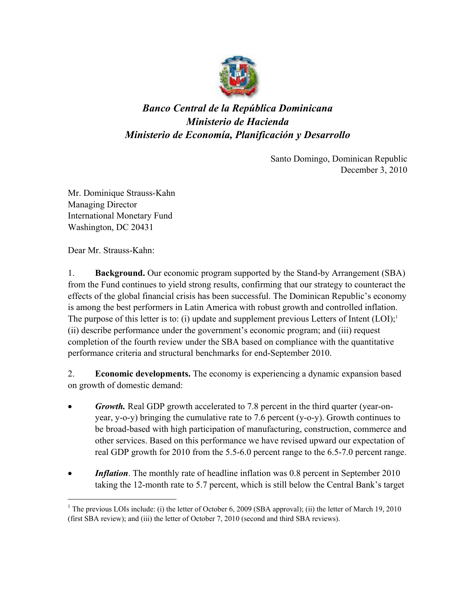

# *Banco Central de la República Dominicana Ministerio de Hacienda Ministerio de Economía, Planificación y Desarrollo*

Santo Domingo, Dominican Republic December 3, 2010

Mr. Dominique Strauss-Kahn Managing Director International Monetary Fund Washington, DC 20431

Dear Mr. Strauss-Kahn:

 $\overline{a}$ 

1. **Background.** Our economic program supported by the Stand-by Arrangement (SBA) from the Fund continues to yield strong results, confirming that our strategy to counteract the effects of the global financial crisis has been successful. The Dominican Republic's economy is among the best performers in Latin America with robust growth and controlled inflation. The purpose of this letter is to: (i) update and supplement previous Letters of Intent  $(LOI)^{1}$ (ii) describe performance under the government's economic program; and (iii) request completion of the fourth review under the SBA based on compliance with the quantitative performance criteria and structural benchmarks for end-September 2010.

2. **Economic developments.** The economy is experiencing a dynamic expansion based on growth of domestic demand:

- *Growth.* Real GDP growth accelerated to 7.8 percent in the third quarter (year-onyear, y-o-y) bringing the cumulative rate to 7.6 percent (y-o-y). Growth continues to be broad-based with high participation of manufacturing, construction, commerce and other services. Based on this performance we have revised upward our expectation of real GDP growth for 2010 from the 5.5-6.0 percent range to the 6.5-7.0 percent range.
- *Inflation*. The monthly rate of headline inflation was 0.8 percent in September 2010 taking the 12-month rate to 5.7 percent, which is still below the Central Bank's target

<sup>&</sup>lt;sup>1</sup> The previous LOIs include: (i) the letter of October 6, 2009 (SBA approval); (ii) the letter of March 19, 2010 (first SBA review); and (iii) the letter of October 7, 2010 (second and third SBA reviews).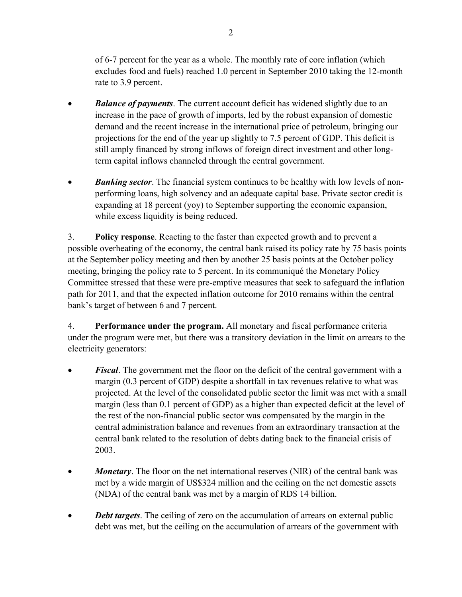of 6-7 percent for the year as a whole. The monthly rate of core inflation (which excludes food and fuels) reached 1.0 percent in September 2010 taking the 12-month rate to 3.9 percent.

- **Balance of payments**. The current account deficit has widened slightly due to an increase in the pace of growth of imports, led by the robust expansion of domestic demand and the recent increase in the international price of petroleum, bringing our projections for the end of the year up slightly to 7.5 percent of GDP. This deficit is still amply financed by strong inflows of foreign direct investment and other longterm capital inflows channeled through the central government.
- *Banking sector*. The financial system continues to be healthy with low levels of nonperforming loans, high solvency and an adequate capital base. Private sector credit is expanding at 18 percent (yoy) to September supporting the economic expansion, while excess liquidity is being reduced.

3. **Policy response**. Reacting to the faster than expected growth and to prevent a possible overheating of the economy, the central bank raised its policy rate by 75 basis points at the September policy meeting and then by another 25 basis points at the October policy meeting, bringing the policy rate to 5 percent. In its communiqué the Monetary Policy Committee stressed that these were pre-emptive measures that seek to safeguard the inflation path for 2011, and that the expected inflation outcome for 2010 remains within the central bank's target of between 6 and 7 percent.

4. **Performance under the program.** All monetary and fiscal performance criteria under the program were met, but there was a transitory deviation in the limit on arrears to the electricity generators:

- *Fiscal*. The government met the floor on the deficit of the central government with a margin (0.3 percent of GDP) despite a shortfall in tax revenues relative to what was projected. At the level of the consolidated public sector the limit was met with a small margin (less than 0.1 percent of GDP) as a higher than expected deficit at the level of the rest of the non-financial public sector was compensated by the margin in the central administration balance and revenues from an extraordinary transaction at the central bank related to the resolution of debts dating back to the financial crisis of 2003.
- *Monetary*. The floor on the net international reserves (NIR) of the central bank was met by a wide margin of US\$324 million and the ceiling on the net domestic assets (NDA) of the central bank was met by a margin of RD\$ 14 billion.
- *Debt targets*. The ceiling of zero on the accumulation of arrears on external public debt was met, but the ceiling on the accumulation of arrears of the government with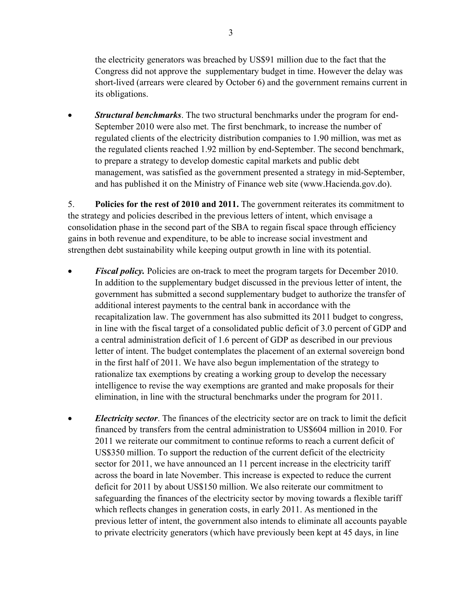the electricity generators was breached by US\$91 million due to the fact that the Congress did not approve the supplementary budget in time. However the delay was short-lived (arrears were cleared by October 6) and the government remains current in its obligations.

 *Structural benchmarks*. The two structural benchmarks under the program for end-September 2010 were also met. The first benchmark, to increase the number of regulated clients of the electricity distribution companies to 1.90 million, was met as the regulated clients reached 1.92 million by end-September. The second benchmark, to prepare a strategy to develop domestic capital markets and public debt management, was satisfied as the government presented a strategy in mid-September, and has published it on the Ministry of Finance web site (www.Hacienda.gov.do).

5. **Policies for the rest of 2010 and 2011.** The government reiterates its commitment to the strategy and policies described in the previous letters of intent, which envisage a consolidation phase in the second part of the SBA to regain fiscal space through efficiency gains in both revenue and expenditure, to be able to increase social investment and strengthen debt sustainability while keeping output growth in line with its potential.

- *Fiscal policy.* Policies are on-track to meet the program targets for December 2010. In addition to the supplementary budget discussed in the previous letter of intent, the government has submitted a second supplementary budget to authorize the transfer of additional interest payments to the central bank in accordance with the recapitalization law. The government has also submitted its 2011 budget to congress, in line with the fiscal target of a consolidated public deficit of 3.0 percent of GDP and a central administration deficit of 1.6 percent of GDP as described in our previous letter of intent. The budget contemplates the placement of an external sovereign bond in the first half of 2011. We have also begun implementation of the strategy to rationalize tax exemptions by creating a working group to develop the necessary intelligence to revise the way exemptions are granted and make proposals for their elimination, in line with the structural benchmarks under the program for 2011.
- *Electricity sector*. The finances of the electricity sector are on track to limit the deficit financed by transfers from the central administration to US\$604 million in 2010. For 2011 we reiterate our commitment to continue reforms to reach a current deficit of US\$350 million. To support the reduction of the current deficit of the electricity sector for 2011, we have announced an 11 percent increase in the electricity tariff across the board in late November. This increase is expected to reduce the current deficit for 2011 by about US\$150 million. We also reiterate our commitment to safeguarding the finances of the electricity sector by moving towards a flexible tariff which reflects changes in generation costs, in early 2011. As mentioned in the previous letter of intent, the government also intends to eliminate all accounts payable to private electricity generators (which have previously been kept at 45 days, in line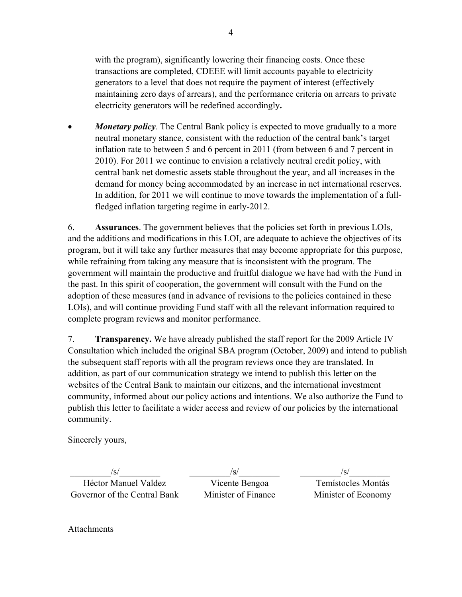with the program), significantly lowering their financing costs. Once these transactions are completed, CDEEE will limit accounts payable to electricity generators to a level that does not require the payment of interest (effectively maintaining zero days of arrears), and the performance criteria on arrears to private electricity generators will be redefined accordingly**.** 

 *Monetary policy*. The Central Bank policy is expected to move gradually to a more neutral monetary stance, consistent with the reduction of the central bank's target inflation rate to between 5 and 6 percent in 2011 (from between 6 and 7 percent in 2010). For 2011 we continue to envision a relatively neutral credit policy, with central bank net domestic assets stable throughout the year, and all increases in the demand for money being accommodated by an increase in net international reserves. In addition, for 2011 we will continue to move towards the implementation of a fullfledged inflation targeting regime in early-2012.

6. **Assurances**. The government believes that the policies set forth in previous LOIs, and the additions and modifications in this LOI, are adequate to achieve the objectives of its program, but it will take any further measures that may become appropriate for this purpose, while refraining from taking any measure that is inconsistent with the program. The government will maintain the productive and fruitful dialogue we have had with the Fund in the past. In this spirit of cooperation, the government will consult with the Fund on the adoption of these measures (and in advance of revisions to the policies contained in these LOIs), and will continue providing Fund staff with all the relevant information required to complete program reviews and monitor performance.

7. **Transparency.** We have already published the staff report for the 2009 Article IV Consultation which included the original SBA program (October, 2009) and intend to publish the subsequent staff reports with all the program reviews once they are translated. In addition, as part of our communication strategy we intend to publish this letter on the websites of the Central Bank to maintain our citizens, and the international investment community, informed about our policy actions and intentions. We also authorize the Fund to publish this letter to facilitate a wider access and review of our policies by the international community.

Sincerely yours,

 $/\mathrm{s}/\mathrm{s}$ Héctor Manuel Valdez Governor of the Central Bank

 $/S/$ Vicente Bengoa Minister of Finance

 $\sqrt{s/}$ Temístocles Montás Minister of Economy

Attachments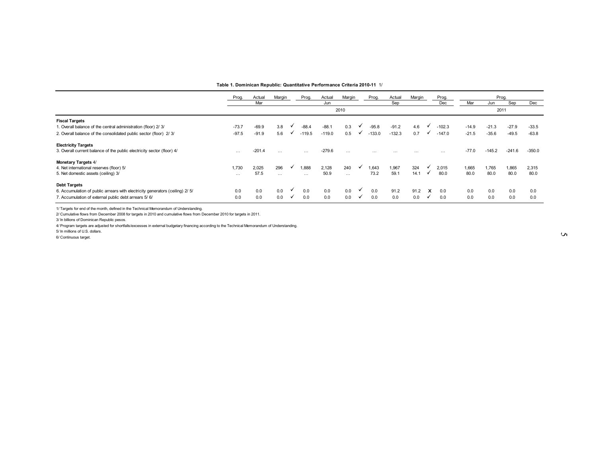|                                                                                                                                                 | Table 1. Dominican Republic: Quantitative Performance Criteria 2010-11 1/ |          |                     |   |          |          |          |   |          |          |          |              |          |         |          |          |          |
|-------------------------------------------------------------------------------------------------------------------------------------------------|---------------------------------------------------------------------------|----------|---------------------|---|----------|----------|----------|---|----------|----------|----------|--------------|----------|---------|----------|----------|----------|
|                                                                                                                                                 | Prog.                                                                     | Actual   | Margin              |   | Prog.    | Actual   | Margin   |   | Prog.    | Actual   | Margin   |              | Prog.    |         |          | Prog.    |          |
|                                                                                                                                                 |                                                                           | Mar      |                     |   |          | Jun      |          |   |          | Sep      |          |              | Dec      | Mar     | Jun      | Sep      | Dec      |
|                                                                                                                                                 |                                                                           |          |                     |   |          |          | 2010     |   |          |          |          |              |          |         |          | 2011     |          |
| <b>Fiscal Targets</b>                                                                                                                           |                                                                           |          |                     |   |          |          |          |   |          |          |          |              |          |         |          |          |          |
| 1. Overall balance of the central administration (floor) 2/ 3/                                                                                  | $-73.7$                                                                   | $-69.9$  | 3.8                 |   | $-88.4$  | $-88.1$  | 0.3      |   | $-95.8$  | $-91.2$  | 4.6      |              | $-102.3$ | $-14.9$ | $-21.3$  | $-27.9$  | $-33.5$  |
| 2. Overall balance of the consolidated public sector (floor) 2/3/                                                                               | $-97.5$                                                                   | $-91.9$  | 5.6                 |   | $-119.5$ | $-119.0$ | 0.5      | ✓ | $-133.0$ | $-132.3$ | 0.7      | ✓            | $-147.0$ | $-21.5$ | $-35.6$  | $-49.5$  | $-63.8$  |
| <b>Electricity Targets</b>                                                                                                                      |                                                                           |          |                     |   |          |          |          |   |          |          |          |              |          |         |          |          |          |
| 3. Overall current balance of the public electricity sector (floor) 4/                                                                          | $\cdots$                                                                  | $-201.4$ | $\cdots$            |   | $\cdots$ | $-279.6$ | $\cdots$ |   | $\cdots$ | $\cdots$ | $\cdots$ |              | $\cdots$ | $-77.0$ | $-145.2$ | $-241.6$ | $-350.0$ |
| <b>Monetary Targets 4/</b>                                                                                                                      |                                                                           |          |                     |   |          |          |          |   |          |          |          |              |          |         |          |          |          |
| 4. Net international reserves (floor) 5/                                                                                                        | 1,730                                                                     | 2,025    | 296                 |   | 1,888    | 2,128    | 240      |   | 1,643    | 1,967    | 324      |              | 2,015    | 1,665   | 1,765    | 1,865    | 2,315    |
| 5. Net domestic assets (ceiling) 3/                                                                                                             | $\cdots$                                                                  | 57.5     | $\cdots$            |   | $\cdots$ | 50.9     | $\cdots$ |   | 73.2     | 59.1     | 14.1     | $\checkmark$ | 80.0     | 80.0    | 80.0     | 80.0     | 80.0     |
| <b>Debt Targets</b>                                                                                                                             |                                                                           |          |                     |   |          |          |          |   |          |          |          |              |          |         |          |          |          |
| 6. Accumulation of public arrears with electricity generators (ceiling) 2/ 5/                                                                   | 0.0                                                                       | 0.0      | 0.0                 | ✔ | 0.0      | 0.0      | 0.0      |   | 0.0      | 91.2     | 91.2     | x            | 0.0      | 0.0     | 0.0      | 0.0      | 0.0      |
| 7. Accumulation of external public debt arrears 5/ 6/                                                                                           | 0.0                                                                       | 0.0      | 0.0<br>$\checkmark$ |   | 0.0      | 0.0      | 0.0      | ╰ | 0.0      | 0.0      | 0.0      | ✓            | 0.0      | 0.0     | 0.0      | 0.0      | 0.0      |
| 1/ Targets for end of the month, defined in the Technical Memorandum of Understanding.                                                          |                                                                           |          |                     |   |          |          |          |   |          |          |          |              |          |         |          |          |          |
| 2/ Cumulative flows from December 2008 for targets in 2010 and cumulative flows from December 2010 for targets in 2011.                         |                                                                           |          |                     |   |          |          |          |   |          |          |          |              |          |         |          |          |          |
| 3/ In billions of Dominican Republic pesos.                                                                                                     |                                                                           |          |                     |   |          |          |          |   |          |          |          |              |          |         |          |          |          |
| 4/ Program targets are adjusted for shortfalls/excesses in external budgetary financing according to the Technical Memorandum of Understanding. |                                                                           |          |                     |   |          |          |          |   |          |          |          |              |          |         |          |          |          |
| 5/ In millions of U.S. dollars.                                                                                                                 |                                                                           |          |                     |   |          |          |          |   |          |          |          |              |          |         |          |          |          |
| 6/ Continuous target                                                                                                                            |                                                                           |          |                     |   |          |          |          |   |          |          |          |              |          |         |          |          |          |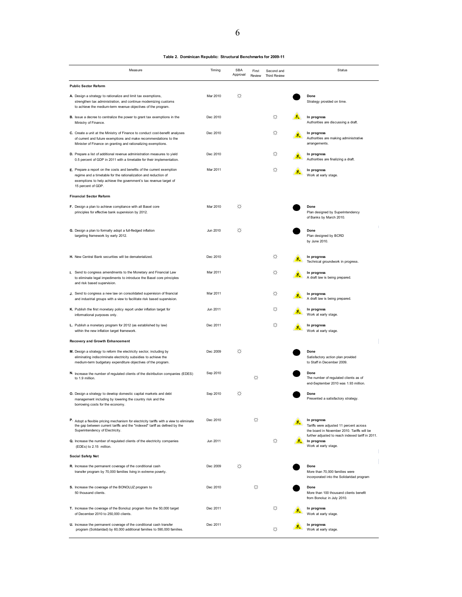| Measure                                                                                                                                                                                                                              | Timing   | <b>SBA</b><br>Approval | First<br>Review | Second and<br><b>Third Review</b> | Status                                                                                                                                                     |
|--------------------------------------------------------------------------------------------------------------------------------------------------------------------------------------------------------------------------------------|----------|------------------------|-----------------|-----------------------------------|------------------------------------------------------------------------------------------------------------------------------------------------------------|
| <b>Public Sector Reform</b>                                                                                                                                                                                                          |          |                        |                 |                                   |                                                                                                                                                            |
| A. Design a strategy to rationalize and limit tax exemptions,<br>strengthen tax administration, and continue modernizing customs<br>to achieve the medium-term revenue objectives of the program.                                    | Mar 2010 | ₩                      |                 |                                   | Done<br>Strategy provided on time.                                                                                                                         |
| B. Issue a decree to centralize the power to grant tax exemptions in the<br>Ministry of Finance.                                                                                                                                     | Dec 2010 |                        |                 | ☆                                 | In progress<br>Authorities are discussing a draft.                                                                                                         |
| C. Create a unit at the Ministry of Finance to conduct cost-benefit analyses<br>of current and future exemptions and make recommendations to the<br>Minister of Finance on granting and rationalizing exemptions.                    | Dec 2010 |                        |                 | ☆                                 | In progress<br>Authorities are making administrative<br>arrangements.                                                                                      |
| D. Prepare a list of additional revenue administration measures to yield<br>0.5 percent of GDP in 2011 with a timetable for their implementation.                                                                                    | Dec 2010 |                        |                 | ☆                                 | In progress<br>Authorities are finalizing a draft.                                                                                                         |
| E. Prepare a report on the costs and benefits of the current exemption<br>regime and a timetable for the rationalization and reduction of<br>exemptions to help achieve the government's tax revenue target of<br>15 percent of GDP. | Mar 2011 |                        |                 | ☆                                 | In progress<br>Work at early stage.                                                                                                                        |
| <b>Financial Sector Reform</b>                                                                                                                                                                                                       |          |                        |                 |                                   |                                                                                                                                                            |
| F. Design a plan to achieve compliance with all Basel core<br>principles for effective bank supervision by 2012.                                                                                                                     | Mar 2010 | ₩                      |                 |                                   | Done<br>Plan designed by Superintendency<br>of Banks by March 2010.                                                                                        |
| G. Design a plan to formally adopt a full-fledged inflation<br>targeting framework by early 2012.                                                                                                                                    | Jun 2010 | ₩                      |                 |                                   | Done<br>Plan designed by BCRD<br>by June 2010.                                                                                                             |
| H. New Central Bank securities will be dematerialized.                                                                                                                                                                               | Dec 2010 |                        |                 | ☆                                 | In progress<br>Technical groundwork in progress.                                                                                                           |
| I. Send to congress amendments to the Monetary and Financial Law<br>to eliminate legal impediments to introduce the Basel core principles<br>and risk based supervision.                                                             | Mar 2011 |                        |                 | ☆                                 | In progress<br>A draft law is being prepared.                                                                                                              |
| J. Send to congress a new law on consolidated supervision of financial<br>and industrial groups with a view to facilitate risk based supervision.                                                                                    | Mar 2011 |                        |                 | ☆                                 | In progress<br>A draft law is being prepared.                                                                                                              |
| K. Publish the first monetary policy report under inflation target for<br>informational purposes only.                                                                                                                               | Jun 2011 |                        |                 | ☆                                 | In progress<br>Work at early stage.                                                                                                                        |
| L. Publish a monetary program for 2012 (as established by law)<br>within the new inflation target framework.                                                                                                                         | Dec 2011 |                        |                 | ☆                                 | In progress<br>Work at early stage.                                                                                                                        |
| Recovery and Growth Enhancement                                                                                                                                                                                                      |          |                        |                 |                                   |                                                                                                                                                            |
| M. Design a strategy to reform the electricity sector, including by<br>eliminating indiscriminate electricity subsidies to achieve the<br>medium-term budgetary expenditure objectives of the program.                               | Dec 2009 | ₩                      |                 |                                   | Done<br>Satisfactory action plan provided<br>to Staff in December 2009.                                                                                    |
| N. Increase the number of regulated clients of the distribution companies (EDES)<br>to 1.9 million.                                                                                                                                  | Sep 2010 |                        | ☆               |                                   | Done<br>The number of regulated clients as of<br>end-September 2010 was 1.93 million.                                                                      |
| O. Design a strategy to develop domestic capital markets and debt<br>management including by lowering the country risk and the<br>borrowing costs for the economy.                                                                   | Sep 2010 | ☆                      |                 |                                   | Done<br>Presented a satisfactory strategy.                                                                                                                 |
| P. Adopt a flexible pricing mechanism for electricity tariffs with a view to eliminate<br>the gap between current tariffs and the "indexed" tariff as defined by the<br>Superintendency of Electricity.                              | Dec 2010 |                        | ☆               |                                   | In progress<br>Tariffs were adjusted 11 percent across<br>the board in November 2010. Tariffs will be<br>further adjusted to reach indexed tariff in 2011. |
| Q. Increase the number of regulated clients of the electricity companies<br>(EDEs) to 2.15 million.                                                                                                                                  | Jun 2011 |                        |                 | ☆                                 | In progress<br>Work at early stage.                                                                                                                        |
| <b>Social Safety Net</b>                                                                                                                                                                                                             |          |                        |                 |                                   |                                                                                                                                                            |
| R. Increase the permanent coverage of the conditional cash<br>transfer program by 70,000 families living in extreme poverty.                                                                                                         | Dec 2009 | ☆                      |                 |                                   | Done<br>More than 70,000 families were<br>incorporated into the Solidaridad program                                                                        |
| S. Increase the coverage of the BONOLUZ program to<br>50 thousand clients.                                                                                                                                                           | Dec 2010 |                        | ☆               |                                   | Done<br>More than 100 thousand clients benefit<br>from Bonoluz in July 2010.                                                                               |
| T. Increase the coverage of the Bonoluz program from the 50,000 target<br>of December 2010 to 250,000 clients.                                                                                                                       | Dec 2011 |                        |                 | ☆                                 | In progress<br>Work at early stage.                                                                                                                        |
| U. Increase the permanent coverage of the conditional cash transfer<br>program (Solidaridad) by 60,000 additional families to 590,000 families.                                                                                      | Dec 2011 |                        |                 | ☆                                 | In progress<br>Work at early stage.                                                                                                                        |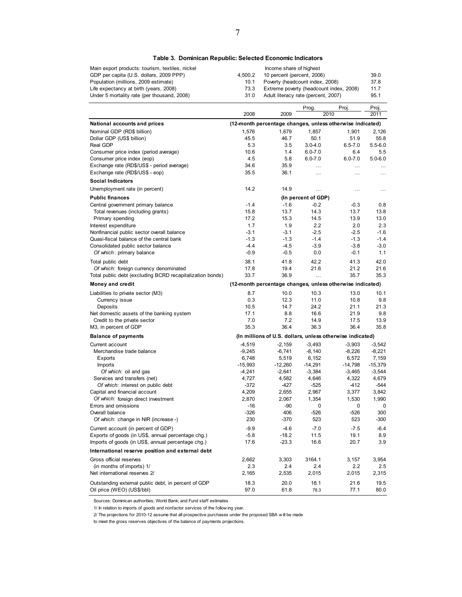#### **Table 3. Dominican Republic: Selected Economic Indicators**

| Main export products: tourism, textiles, nickel |         | Income share of highest                 |      |
|-------------------------------------------------|---------|-----------------------------------------|------|
| GDP per capita (U.S. dollars, 2009 PPP)         | 4.500.2 | 10 percent (percent, 2006)              | 39.0 |
| Population (millions, 2009 estimate)            | 10.1    | Poverty (headcount index, 2008)         | 37.8 |
| Life expectancy at birth (years, 2008)          | 73.3    | Extreme poverty (headcount index, 2008) | 11.7 |
| Under 5 mortality rate (per thousand, 2008)     | 31.0    | Adult literacy rate (percent, 2007)     | 95.1 |

|                                                           |           |           | Prog.               | Proj.                                                     | Proj.       |
|-----------------------------------------------------------|-----------|-----------|---------------------|-----------------------------------------------------------|-------------|
|                                                           | 2008      | 2009      |                     | 2010                                                      | 2011        |
| National accounts and prices                              |           |           |                     | (12-month percentage changes, unless otherwise indicated) |             |
| Nominal GDP (RD\$ billion)                                | 1.576     | 1.679     | 1.857               | 1.901                                                     | 2.126       |
| Dollar GDP (US\$ billion)                                 | 45.5      | 46.7      | 50.1                | 51.9                                                      | 55.8        |
| Real GDP                                                  | 5.3       | 3.5       | $3.0 - 4.0$         | $6.5 - 7.0$                                               | $5.5 - 6.0$ |
| Consumer price index (period average)                     | 10.6      | 1.4       | $6.0 - 7.0$         | 6.4                                                       | 5.5         |
| Consumer price index (eop)                                | 4.5       | 5.8       | $6.0 - 7.0$         | $6.0 - 7.0$                                               | $5.0 - 6.0$ |
| Exchange rate (RD\$/US\$ - period average)                | 34.6      | 35.9      | $\cdots$            | $\cdots$                                                  |             |
| Exchange rate (RD\$/US\$ - eop)                           | 35.5      | 36.1      | $\cdots$            | $\cdots$                                                  | $\ddotsc$   |
| <b>Social Indicators</b>                                  |           |           |                     |                                                           |             |
| Unemployment rate (in percent)                            | 14.2      | 14.9      | $\ddotsc$           | $\cdots$                                                  | $\cdots$    |
| <b>Public finances</b>                                    |           |           | (In percent of GDP) |                                                           |             |
| Central government primary balance                        | $-1.4$    | $-1.6$    | $-0.2$              | $-0.3$                                                    | 0.8         |
| Total revenues (including grants)                         | 15.8      | 13.7      | 14.3                | 13.7                                                      | 13.8        |
| Primary spending                                          | 17.2      | 15.3      | 14.5                | 13.9                                                      | 13.0        |
| Interest expenditure                                      | 1.7       | 1.9       | 2.2                 | 2.0                                                       | 2.3         |
| Nonfinancial public sector overall balance                | $-3.1$    | $-3.1$    | $-2.5$              | $-2.5$                                                    | $-1.6$      |
| Quasi-fiscal balance of the central bank                  | $-1.3$    | $-1.3$    | $-1.4$              | $-1.3$                                                    | $-1.4$      |
| Consolidated public sector balance                        | $-4.4$    | $-4.5$    | $-3.9$              | $-3.8$                                                    | $-3.0$      |
| Of which: primary balance                                 | $-0.9$    | $-0.5$    | 0.0                 | $-0.1$                                                    | 1.1         |
| Total public debt                                         | 38.1      | 41.8      | 42.2                | 41.3                                                      | 42.0        |
| Of which: foreign currency denominated                    | 17.8      | 19.4      | 21.6                | 21.2                                                      | 21.6        |
| Total public debt (excluding BCRD recapitalization bonds) | 33.7      | 36.9      | $\cdots$            | 35.7                                                      | 35.3        |
| Money and credit                                          |           |           |                     | (12-month percentage changes, unless otherwise indicated) |             |
| Liabilities to private sector (M3)                        | 8.7       | 10.0      | 10.3                | 13.0                                                      | 10.1        |
| Currency issue                                            | 0.3       | 12.3      | 11.0                | 10.8                                                      | 9.8         |
| Deposits                                                  | 10.5      | 14.7      | 24.2                | 21.1                                                      | 21.3        |
| Net domestic assets of the banking system                 | 17.1      | 8.8       | 16.6                | 21.9                                                      | 9.8         |
| Credit to the private sector                              | 7.0       | 7.2       | 14.9                | 17.5                                                      | 13.9        |
| M3, in percent of GDP                                     | 35.3      | 36.4      | 36.3                | 36.4                                                      | 35.8        |
| <b>Balance of payments</b>                                |           |           |                     | (In millions of U.S. dollars, unless otherwise indicated) |             |
| Current account                                           | $-4,519$  | $-2,159$  | $-3,493$            | $-3,903$                                                  | $-3,542$    |
| Merchandise trade balance                                 | $-9,245$  | $-6,741$  | $-8,140$            | $-8,226$                                                  | $-8,221$    |
| Exports                                                   | 6,748     | 5,519     | 6,152               | 6,572                                                     | 7,159       |
| Imports                                                   | $-15,993$ | $-12,260$ | $-14,291$           | $-14,798$                                                 | $-15,379$   |
| Of which: oil and gas                                     | $-4,241$  | $-2,641$  | $-3,384$            | $-3,465$                                                  | $-3,544$    |
| Services and transfers (net)                              | 4,727     | 4,582     | 4,646               | 4,322                                                     | 4,679       |
| Of which: interest on public debt                         | $-372$    | -427      | $-525$              | $-412$                                                    | -544        |
| Capital and financial account                             | 4,209     | 2,655     | 2,967               | 3,377                                                     | 3,842       |
| Of which: foreign direct investment                       | 2,870     | 2,067     | 1,354               | 1,530                                                     | 1,990       |
| Errors and omissions                                      | $-16$     | -90       | 0                   | 0                                                         | 0           |
| Overall balance                                           | $-326$    | 406       | $-526$              | $-526$                                                    | 300         |
| Of which: change in NIR (increase -)                      | 230       | -370      | 523                 | 523                                                       | $-300$      |
| Current account (in percent of GDP)                       | $-9.9$    | $-4.6$    | $-7.0$              | $-7.5$                                                    | $-6.4$      |
| Exports of goods (in US\$, annual percentage chg.)        | $-5.8$    | $-18.2$   | 11.5                | 19.1                                                      | 8.9         |
| Imports of goods (in US\$, annual percentage chg.)        | 17.6      | $-23.3$   | 16.6                | 20.7                                                      | 3.9         |
| International reserve position and external debt          |           |           |                     |                                                           |             |
| Gross official reserves                                   | 2,662     | 3,303     | 3164.1              | 3,157                                                     | 3,954       |
| (in months of imports) 1/                                 | 2.3       | 2.4       | 2.4                 | 2.2                                                       | 2.5         |
| Net international reserves 2/                             | 2,165     | 2,535     | 2,015               | 2,015                                                     | 2,315       |
| Outstanding external public debt, in percent of GDP       | 18.3      | 20.0      | 18.1                | 21.6                                                      | 19.5        |
| Oil price (WEO) (US\$/bbl)                                | 97.0      | 61.8      | 78.3                | 77.1                                                      | 80.0        |

Sources: Dominican authorities; World Bank; and Fund staff estimates.

1/ In relation to imports of goods and nonfactor services of the follow ing year.

2/ The projections for 2010-12 assume that all prospective purchases under the proposed SBA w ill be made

to meet the gross reserves objectives of the balance of payments projections.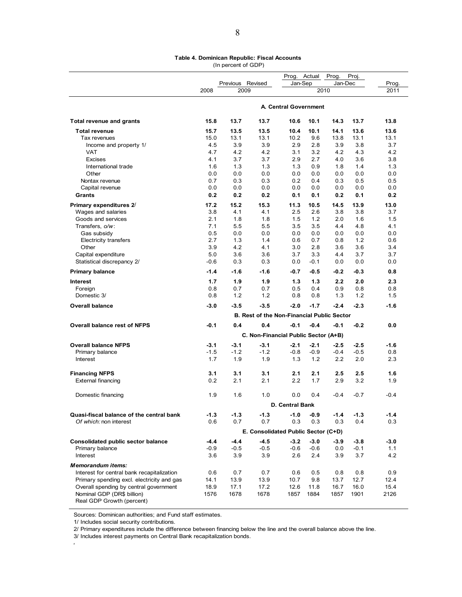#### **Table 4. Dominican Republic: Fiscal Accounts**  (In percent of GDP)

|                                                         |             |                  |                                            | Prog.                 | Actual     | Prog.       | Proj.      |             |
|---------------------------------------------------------|-------------|------------------|--------------------------------------------|-----------------------|------------|-------------|------------|-------------|
|                                                         |             | Previous Revised |                                            | Jan-Sep               |            | Jan-Dec     |            | Prog.       |
|                                                         | 2008        | 2009             |                                            |                       | 2010       |             |            | 2011        |
|                                                         |             |                  |                                            | A. Central Government |            |             |            |             |
| Total revenue and grants                                | 15.8        | 13.7             | 13.7                                       | 10.6                  | 10.1       | 14.3        | 13.7       | 13.8        |
| <b>Total revenue</b>                                    | 15.7        | 13.5             | 13.5                                       | 10.4                  | 10.1       | 14.1        | 13.6       | 13.6        |
| Tax revenues                                            | 15.0        | 13.1             | 13.1                                       | 10.2                  | 9.6        | 13.8        | 13.1       | 13.1        |
| Income and property 1/                                  | 4.5         | 3.9              | 3.9                                        | 2.9                   | 2.8        | 3.9         | 3.8        | 3.7         |
| <b>VAT</b>                                              | 4.7         | 4.2              | 4.2                                        | 3.1                   | 3.2        | 4.2         | 4.3        | 4.2         |
| Excises                                                 | 4.1         | 3.7              | 3.7                                        | 2.9                   | 2.7        | 4.0         | 3.6        | 3.8         |
| International trade<br>Other                            | 1.6<br>0.0  | 1.3<br>0.0       | 1.3<br>0.0                                 | 1.3<br>0.0            | 0.9<br>0.0 | 1.8<br>0.0  | 1.4<br>0.0 | 1.3<br>0.0  |
| Nontax revenue                                          | 0.7         | 0.3              | 0.3                                        | 0.2                   | 0.4        | 0.3         | 0.5        | 0.5         |
| Capital revenue                                         | 0.0         | 0.0              | 0.0                                        | 0.0                   | 0.0        | 0.0         | 0.0        | 0.0         |
| Grants                                                  | 0.2         | 0.2              | 0.2                                        | 0.1                   | 0.1        | 0.2         | 0.1        | 0.2         |
|                                                         |             | 15.2             |                                            | 11.3                  | 10.5       |             | 13.9       |             |
| Primary expenditures 2/<br>Wages and salaries           | 17.2<br>3.8 | 4.1              | 15.3<br>4.1                                | 2.5                   | 2.6        | 14.5<br>3.8 | 3.8        | 13.0<br>3.7 |
| Goods and services                                      | 2.1         | 1.8              | 1.8                                        | 1.5                   | 1.2        | 2.0         | 1.6        | 1.5         |
| Transfers, o/w:                                         | 7.1         | 5.5              | 5.5                                        | 3.5                   | 3.5        | 4.4         | 4.8        | 4.1         |
| Gas subsidy                                             | 0.5         | 0.0              | 0.0                                        | 0.0                   | 0.0        | 0.0         | 0.0        | 0.0         |
| <b>Electricity transfers</b>                            | 2.7         | 1.3              | 1.4                                        | 0.6                   | 0.7        | 0.8         | 1.2        | 0.6         |
| Other                                                   | 3.9         | 4.2              | 4.1                                        | 3.0                   | 2.8        | 3.6         | 3.6        | 3.4         |
| Capital expenditure                                     | 5.0         | 3.6              | 3.6                                        | 3.7                   | 3.3        | 4.4         | 3.7        | 3.7         |
| Statistical discrepancy 2/                              | $-0.6$      | 0.3              | 0.3                                        | 0.0                   | $-0.1$     | 0.0         | 0.0        | 0.0         |
| <b>Primary balance</b>                                  | $-1.4$      | $-1.6$           | $-1.6$                                     | $-0.7$                | $-0.5$     | $-0.2$      | $-0.3$     | 0.8         |
| <b>Interest</b>                                         | 1.7         | 1.9              | 1.9                                        | 1.3                   | 1.3        | 2.2         | 2.0        | 2.3         |
| Foreign                                                 | 0.8         | 0.7              | 0.7                                        | 0.5                   | 0.4        | 0.9         | 0.8        | 0.8         |
| Domestic 3/                                             | 0.8         | 1.2              | 1.2                                        | 0.8                   | 0.8        | 1.3         | 1.2        | 1.5         |
| <b>Overall balance</b>                                  | $-3.0$      | $-3.5$           | $-3.5$                                     | $-2.0$                | $-1.7$     | $-2.4$      | $-2.3$     | $-1.6$      |
|                                                         |             |                  | B. Rest of the Non-Financial Public Sector |                       |            |             |            |             |
| <b>Overall balance rest of NFPS</b>                     | $-0.1$      | 0.4              | 0.4                                        | $-0.1$                | $-0.4$     | $-0.1$      | $-0.2$     | 0.0         |
|                                                         |             |                  | C. Non-Financial Public Sector (A+B)       |                       |            |             |            |             |
| <b>Overall balance NFPS</b>                             | $-3.1$      | $-3.1$           | $-3.1$                                     | $-2.1$                | $-2.1$     | $-2.5$      | $-2.5$     | $-1.6$      |
| Primary balance                                         | $-1.5$      | $-1.2$           | $-1.2$                                     | $-0.8$                | $-0.9$     | $-0.4$      | $-0.5$     | 0.8         |
| Interest                                                | 1.7         | 1.9              | 1.9                                        | 1.3                   | 1.2        | 2.2         | 2.0        | 2.3         |
| <b>Financing NFPS</b>                                   | 3.1         | 3.1              | 3.1                                        | 2.1                   | 2.1        | 2.5         | 2.5        | 1.6         |
| <b>External financing</b>                               | 0.2         | 2.1              | 2.1                                        | 2.2                   | 1.7        | 2.9         | 3.2        | 1.9         |
| Domestic financing                                      | 1.9         | 1.6              | 1.0                                        | 0.0                   | 0.4        | $-0.4$      | $-0.7$     | $-0.4$      |
|                                                         |             |                  |                                            | D. Central Bank       |            |             |            |             |
| Quasi-fiscal balance of the central bank                | $-1.3$      | $-1.3$           | $-1.3$                                     | $-1.0$                | $-0.9$     | $-1.4$      | $-1.3$     | $-1.4$      |
| Of which: non interest                                  | 0.6         | 0.7              | 0.7                                        | 0.3                   | 0.3        | 0.3         | 0.4        | 0.3         |
|                                                         |             |                  | E. Consolidated Public Sector (C+D)        |                       |            |             |            |             |
| Consolidated public sector balance                      | $-4.4$      | $-4.4$           | $-4.5$                                     | $-3.2$                | $-3.0$     | $-3.9$      | $-3.8$     | $-3.0$      |
| Primary balance                                         | $-0.9$      | $-0.5$           | $-0.5$                                     | $-0.6$                | $-0.6$     | 0.0         | $-0.1$     | 1.1         |
| Interest                                                | 3.6         | 3.9              | 3.9                                        | 2.6                   | 2.4        | 3.9         | 3.7        | 4.2         |
| <b>Memorandum items:</b>                                |             |                  |                                            |                       |            |             |            |             |
| Interest for central bank recapitalization              | 0.6         | 0.7              | 0.7                                        | 0.6                   | 0.5        | 0.8         | 0.8        | 0.9         |
| Primary spending excl. electricity and gas              | 14.1        | 13.9             | 13.9                                       | 10.7                  | 9.8        | 13.7        | 12.7       | 12.4        |
| Overall spending by central government                  | 18.9        | 17.1             | 17.2                                       | 12.6                  | 11.8       | 16.7        | 16.0       | 15.4        |
| Nominal GDP (DR\$ billion)<br>Real GDP Growth (percent) | 1576        | 1678             | 1678                                       | 1857                  | 1884       | 1857        | 1901       | 2126        |

Sources: Dominican authorities; and Fund staff estimates.

1/ Includes social security contributions.

2/ Primary expenditures include the difference between financing below the line and the overall balance above the line.

3/ Includes interest payments on Central Bank recapitalization bonds.

4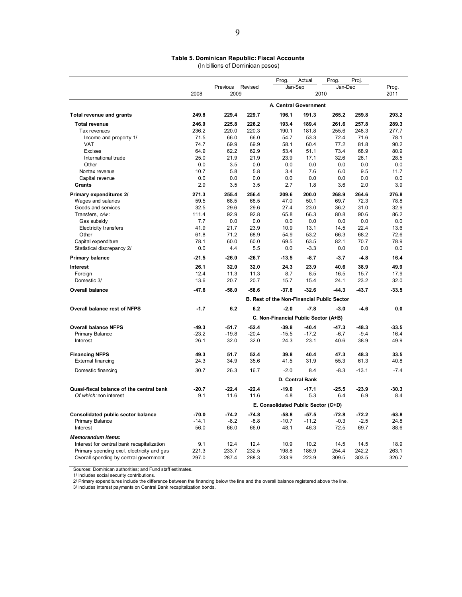#### **Table 5. Dominican Republic: Fiscal Accounts**  (In billions of Dominican pesos)

|                                            |         |          |         | Prog.                                             | Actual          | Prog.   | Proj.   |         |
|--------------------------------------------|---------|----------|---------|---------------------------------------------------|-----------------|---------|---------|---------|
|                                            |         | Previous | Revised | Jan-Sep                                           |                 | Jan-Dec |         | Prog.   |
|                                            | 2008    | 2009     |         |                                                   |                 | 2010    |         | 2011    |
|                                            |         |          |         | A. Central Government                             |                 |         |         |         |
| <b>Total revenue and grants</b>            | 249.8   | 229.4    | 229.7   | 196.1                                             | 191.3           | 265.2   | 259.8   | 293.2   |
| <b>Total revenue</b>                       | 246.9   | 225.8    | 226.2   | 193.4                                             | 189.4           | 261.6   | 257.8   | 289.3   |
| Tax revenues                               | 236.2   | 220.0    | 220.3   | 190.1                                             | 181.8           | 255.6   | 248.3   | 277.7   |
| Income and property 1/                     | 71.5    | 66.0     | 66.0    | 54.7                                              | 53.3            | 72.4    | 71.6    | 78.1    |
| <b>VAT</b>                                 | 74.7    | 69.9     | 69.9    | 58.1                                              | 60.4            | 77.2    | 81.8    | 90.2    |
| <b>Excises</b>                             | 64.9    | 62.2     | 62.9    | 53.4                                              | 51.1            | 73.4    | 68.9    | 80.9    |
| International trade                        | 25.0    | 21.9     | 21.9    | 23.9                                              | 17.1            | 32.6    | 26.1    | 28.5    |
| Other                                      | 0.0     | 3.5      | 0.0     | 0.0                                               | 0.0             | 0.0     | 0.0     | 0.0     |
| Nontax revenue                             | 10.7    | 5.8      | 5.8     | 3.4                                               | 7.6             | 6.0     | 9.5     | 11.7    |
| Capital revenue                            | 0.0     | 0.0      | 0.0     | 0.0                                               | 0.0             | 0.0     | 0.0     | 0.0     |
| Grants                                     | 2.9     | 3.5      | 3.5     | 2.7                                               | 1.8             | 3.6     | 2.0     | 3.9     |
| Primary expenditures 2/                    | 271.3   | 255.4    | 256.4   | 209.6                                             | 200.0           | 268.9   | 264.6   | 276.8   |
| Wages and salaries                         | 59.5    | 68.5     | 68.5    | 47.0                                              | 50.1            | 69.7    | 72.3    | 78.8    |
| Goods and services                         | 32.5    | 29.6     | 29.6    | 27.4                                              | 23.0            | 36.2    | 31.0    | 32.9    |
| Transfers, o/w:                            | 111.4   | 92.9     | 92.8    | 65.8                                              | 66.3            | 80.8    | 90.6    | 86.2    |
| Gas subsidy                                | 7.7     | 0.0      | 0.0     | 0.0                                               | 0.0             | 0.0     | 0.0     | 0.0     |
| <b>Electricity transfers</b>               | 41.9    | 21.7     | 23.9    | 10.9                                              | 13.1            | 14.5    | 22.4    | 13.6    |
| Other                                      | 61.8    | 71.2     | 68.9    | 54.9                                              | 53.2            | 66.3    | 68.2    | 72.6    |
| Capital expenditure                        | 78.1    | 60.0     | 60.0    | 69.5                                              | 63.5            | 82.1    | 70.7    | 78.9    |
| Statistical discrepancy 2/                 | 0.0     | 4.4      | 5.5     | 0.0                                               | $-3.3$          | 0.0     | 0.0     | 0.0     |
| <b>Primary balance</b>                     | $-21.5$ | $-26.0$  | $-26.7$ | $-13.5$                                           | $-8.7$          | $-3.7$  | $-4.8$  | 16.4    |
| Interest                                   | 26.1    | 32.0     | 32.0    | 24.3                                              | 23.9            | 40.6    | 38.9    | 49.9    |
| Foreign                                    | 12.4    | 11.3     | 11.3    | 8.7                                               | 8.5             | 16.5    | 15.7    | 17.9    |
| Domestic 3/                                | 13.6    | 20.7     | 20.7    | 15.7                                              | 15.4            | 24.1    | 23.2    | 32.0    |
| <b>Overall balance</b>                     | $-47.6$ | $-58.0$  | $-58.6$ | $-37.8$                                           | $-32.6$         | $-44.3$ | $-43.7$ | $-33.5$ |
|                                            |         |          |         | <b>B. Rest of the Non-Financial Public Sector</b> |                 |         |         |         |
| Overall balance rest of NFPS               | $-1.7$  | 6.2      | 6.2     | $-2.0$                                            | $-7.8$          | $-3.0$  | $-4.6$  | 0.0     |
|                                            |         |          |         | C. Non-Financial Public Sector (A+B)              |                 |         |         |         |
| <b>Overall balance NFPS</b>                | $-49.3$ | $-51.7$  | $-52.4$ | $-39.8$                                           | $-40.4$         | $-47.3$ | $-48.3$ | $-33.5$ |
| <b>Primary Balance</b>                     | $-23.2$ | $-19.8$  | $-20.4$ | $-15.5$                                           | $-17.2$         | $-6.7$  | $-9.4$  | 16.4    |
| Interest                                   | 26.1    | 32.0     | 32.0    | 24.3                                              | 23.1            | 40.6    | 38.9    | 49.9    |
| <b>Financing NFPS</b>                      | 49.3    | 51.7     | 52.4    | 39.8                                              | 40.4            | 47.3    | 48.3    | 33.5    |
| <b>External financing</b>                  | 24.3    | 34.9     | 35.6    | 41.5                                              | 31.9            | 55.3    | 61.3    | 40.8    |
|                                            |         |          |         |                                                   |                 |         |         |         |
| Domestic financing                         | 30.7    | 26.3     | 16.7    | $-2.0$                                            | 8.4             | $-8.3$  | $-13.1$ | $-7.4$  |
|                                            |         |          |         |                                                   | D. Central Bank |         |         |         |
| Quasi-fiscal balance of the central bank   | $-20.7$ | $-22.4$  | $-22.4$ | $-19.0$                                           | $-17.1$         | $-25.5$ | $-23.9$ | $-30.3$ |
| Of which: non interest                     | 9.1     | 11.6     | 11.6    | 4.8                                               | 5.3             | 6.4     | 6.9     | 8.4     |
|                                            |         |          |         | E. Consolidated Public Sector (C+D)               |                 |         |         |         |
| Consolidated public sector balance         | -70.0   | $-74.2$  | $-74.8$ | $-58.8$                                           | $-57.5$         | $-72.8$ | $-72.2$ | -63.8   |
| <b>Primary Balance</b>                     | $-14.1$ | $-8.2$   | $-8.8$  | $-10.7$                                           | $-11.2$         | $-0.3$  | $-2.5$  | 24.8    |
| Interest                                   | 56.0    | 66.0     | 66.0    | 48.1                                              | 46.3            | 72.5    | 69.7    | 88.6    |
| Memorandum items:                          |         |          |         |                                                   |                 |         |         |         |
| Interest for central bank recapitalization | 9.1     | 12.4     | 12.4    | 10.9                                              | 10.2            | 14.5    | 14.5    | 18.9    |
| Primary spending excl. electricity and gas | 221.3   | 233.7    | 232.5   | 198.8                                             | 186.9           | 254.4   | 242.2   | 263.1   |
| Overall spending by central government     | 297.0   | 287.4    | 288.3   | 233.9                                             | 223.9           | 309.5   | 303.5   | 326.7   |
|                                            |         |          |         |                                                   |                 |         |         |         |

Sources: Dominican authorities; and Fund staff estimates.

1/ Includes social security contributions.

2/ Primary expenditures include the difference between the financing below the line and the overall balance registered above the line. 3/ Includes interest payments on Central Bank recapitalization bonds.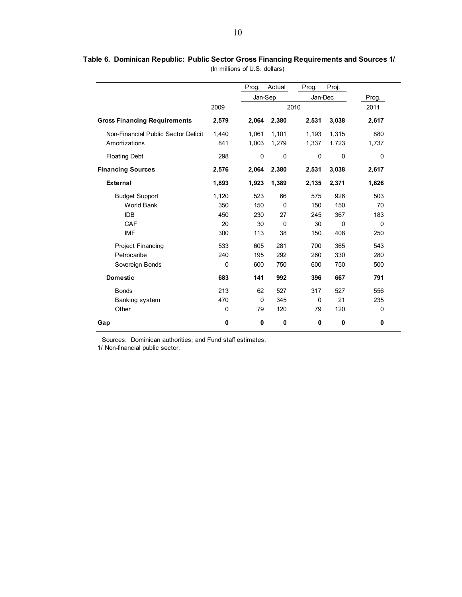|                                     |       | Prog.       | Actual   | Prog.   | Proj.    |          |
|-------------------------------------|-------|-------------|----------|---------|----------|----------|
|                                     |       | Jan-Sep     |          | Jan-Dec |          | Prog.    |
|                                     | 2009  |             |          | 2010    |          | 2011     |
| <b>Gross Financing Requirements</b> | 2,579 | 2,064       | 2,380    | 2,531   | 3,038    | 2,617    |
| Non-Financial Public Sector Deficit | 1,440 | 1,061       | 1,101    | 1,193   | 1,315    | 880      |
| Amortizations                       | 841   | 1,003       | 1,279    | 1,337   | 1,723    | 1,737    |
| <b>Floating Debt</b>                | 298   | 0           | 0        | 0       | 0        | 0        |
| <b>Financing Sources</b>            | 2,576 | 2,064       | 2,380    | 2,531   | 3,038    | 2,617    |
| <b>External</b>                     | 1,893 | 1,923       | 1,389    | 2,135   | 2,371    | 1,826    |
| <b>Budget Support</b>               | 1,120 | 523         | 66       | 575     | 926      | 503      |
| <b>World Bank</b>                   | 350   | 150         | $\Omega$ | 150     | 150      | 70       |
| <b>IDB</b>                          | 450   | 230         | 27       | 245     | 367      | 183      |
| CAF                                 | 20    | 30          | $\Omega$ | 30      | $\Omega$ | $\Omega$ |
| <b>IMF</b>                          | 300   | 113         | 38       | 150     | 408      | 250      |
| Project Financing                   | 533   | 605         | 281      | 700     | 365      | 543      |
| Petrocaribe                         | 240   | 195         | 292      | 260     | 330      | 280      |
| Sovereign Bonds                     | 0     | 600         | 750      | 600     | 750      | 500      |
| <b>Domestic</b>                     | 683   | 141         | 992      | 396     | 667      | 791      |
| <b>Bonds</b>                        | 213   | 62          | 527      | 317     | 527      | 556      |
| Banking system                      | 470   | $\mathbf 0$ | 345      | 0       | 21       | 235      |
| Other                               | 0     | 79          | 120      | 79      | 120      | 0        |
| Gap                                 | 0     | 0           | 0        | 0       | 0        | 0        |

**Table 6. Dominican Republic: Public Sector Gross Financing Requirements and Sources 1/** (In millions of U.S. dollars)

1/ Non-financial public sector.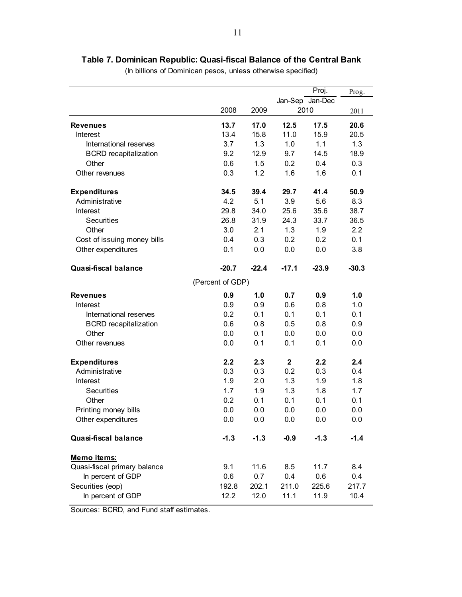# **Table 7. Dominican Republic: Quasi-fiscal Balance of the Central Bank**

(In billions of Dominican pesos, unless otherwise specified)

|                              |                  |         |              | Proj.           | Prog.   |
|------------------------------|------------------|---------|--------------|-----------------|---------|
|                              |                  |         |              | Jan-Sep Jan-Dec |         |
|                              | 2008             | 2009    |              | 2010            | 2011    |
| <b>Revenues</b>              | 13.7             | 17.0    | 12.5         | 17.5            | 20.6    |
| Interest                     | 13.4             | 15.8    | 11.0         | 15.9            | 20.5    |
| International reserves       | 3.7              | 1.3     | 1.0          | 1.1             | 1.3     |
| <b>BCRD</b> recapitalization | 9.2              | 12.9    | 9.7          | 14.5            | 18.9    |
| Other                        | 0.6              | 1.5     | 0.2          | 0.4             | 0.3     |
| Other revenues               | 0.3              | 1.2     | 1.6          | 1.6             | 0.1     |
| <b>Expenditures</b>          | 34.5             | 39.4    | 29.7         | 41.4            | 50.9    |
| Administrative               | 4.2              | 5.1     | 3.9          | 5.6             | 8.3     |
| Interest                     | 29.8             | 34.0    | 25.6         | 35.6            | 38.7    |
| <b>Securities</b>            | 26.8             | 31.9    | 24.3         | 33.7            | 36.5    |
| Other                        | 3.0              | 2.1     | 1.3          | 1.9             | 2.2     |
| Cost of issuing money bills  | 0.4              | 0.3     | 0.2          | 0.2             | 0.1     |
| Other expenditures           | 0.1              | 0.0     | 0.0          | 0.0             | 3.8     |
| <b>Quasi-fiscal balance</b>  | $-20.7$          | $-22.4$ | $-17.1$      | $-23.9$         | $-30.3$ |
|                              | (Percent of GDP) |         |              |                 |         |
| <b>Revenues</b>              | 0.9              | 1.0     | 0.7          | 0.9             | 1.0     |
| Interest                     | 0.9              | 0.9     | 0.6          | 0.8             | 1.0     |
| International reserves       | 0.2              | 0.1     | 0.1          | 0.1             | 0.1     |
| <b>BCRD</b> recapitalization | 0.6              | 0.8     | 0.5          | 0.8             | 0.9     |
| Other                        | 0.0              | 0.1     | 0.0          | 0.0             | 0.0     |
| Other revenues               | 0.0              | 0.1     | 0.1          | 0.1             | 0.0     |
| <b>Expenditures</b>          | 2.2              | 2.3     | $\mathbf{2}$ | 2.2             | 2.4     |
| Administrative               | 0.3              | 0.3     | 0.2          | 0.3             | 0.4     |
| Interest                     | 1.9              | 2.0     | 1.3          | 1.9             | 1.8     |
| <b>Securities</b>            | 1.7              | 1.9     | 1.3          | 1.8             | 1.7     |
| Other                        | 0.2              | 0.1     | 0.1          | 0.1             | 0.1     |
| Printing money bills         | 0.0              | 0.0     | 0.0          | 0.0             | 0.0     |
| Other expenditures           | 0.0              | 0.0     | 0.0          | 0.0             | 0.0     |
| <b>Quasi-fiscal balance</b>  | $-1.3$           | $-1.3$  | $-0.9$       | $-1.3$          | $-1.4$  |
| Memo items:                  |                  |         |              |                 |         |
| Quasi-fiscal primary balance | 9.1              | 11.6    | 8.5          | 11.7            | 8.4     |
| In percent of GDP            | 0.6              | 0.7     | 0.4          | 0.6             | 0.4     |
| Securities (eop)             | 192.8            | 202.1   | 211.0        | 225.6           | 217.7   |
| In percent of GDP            | 12.2             | 12.0    | 11.1         | 11.9            | 10.4    |

Sources: BCRD, and Fund staff estimates.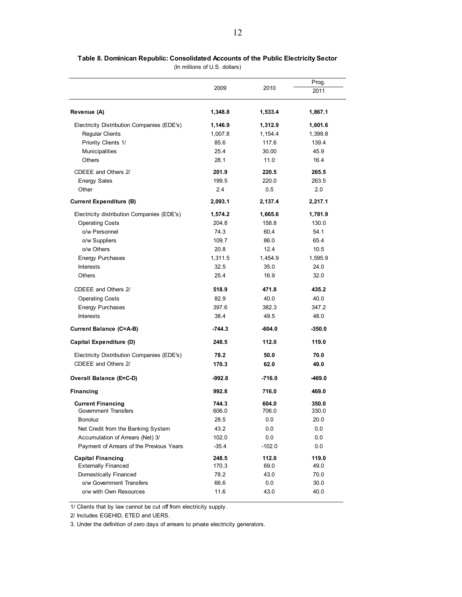|                                            |         |          | Prog.    |
|--------------------------------------------|---------|----------|----------|
|                                            | 2009    | 2010     | 2011     |
| Revenue (A)                                | 1,348.8 | 1,533.4  | 1,867.1  |
| Electricity Distribution Companies (EDE's) | 1,146.9 | 1,312.9  | 1,601.6  |
| <b>Regular Clients</b>                     | 1,007.8 | 1,154.4  | 1,399.8  |
| Priority Clients 1/                        | 85.6    | 117.6    | 139.4    |
| Municipalities                             | 25.4    | 30.00    | 45.9     |
| Others                                     | 28.1    | 11.0     | 16.4     |
| CDEEE and Others 2/                        | 201.9   | 220.5    | 265.5    |
| <b>Energy Sales</b>                        | 199.5   | 220.0    | 263.5    |
| Other                                      | 2.4     | 0.5      | 2.0      |
| <b>Current Expenditure (B)</b>             | 2,093.1 | 2,137.4  | 2,217.1  |
| Electricity distribution Companies (EDE's) | 1,574.2 | 1,665.6  | 1,781.9  |
| <b>Operating Costs</b>                     | 204.8   | 158.8    | 130.0    |
| o/w Personnel                              | 74.3    | 60.4     | 54.1     |
| o/w Suppliers                              | 109.7   | 86.0     | 65.4     |
| o/w Others                                 | 20.8    | 12.4     | 10.5     |
| <b>Energy Purchases</b>                    | 1,311.5 | 1,454.9  | 1,595.9  |
| Interests                                  | 32.5    | 35.0     | 24.0     |
| Others                                     | 25.4    | 16.9     | 32.0     |
| CDEEE and Others 2/                        | 518.9   | 471.8    | 435.2    |
| <b>Operating Costs</b>                     | 82.9    | 40.0     | 40.0     |
| <b>Energy Purchases</b>                    | 397.6   | 382.3    | 347.2    |
| <b>Interests</b>                           | 38.4    | 49.5     | 48.0     |
| <b>Current Balance (C=A-B)</b>             | -744.3  | -604.0   | $-350.0$ |
| Capital Expenditure (D)                    | 248.5   | 112.0    | 119.0    |
| Electricity Distribution Companies (EDE's) | 78.2    | 50.0     | 70.0     |
| CDEEE and Others 2/                        | 170.3   | 62.0     | 49.0     |
| Overall Balance (E=C-D)                    | -992.8  | $-716.0$ | $-469.0$ |
| <b>Financing</b>                           | 992.8   | 716.0    | 469.0    |
| <b>Current Financing</b>                   | 744.3   | 604.0    | 350.0    |
| Government Transfers                       | 606.0   | 706.0    | 330.0    |
| <b>Bonoluz</b>                             | 28.5    | 0.0      | 20.0     |
| Net Credit from the Banking System         | 43.2    | 0.0      | 0.0      |
| Accumulation of Arrears (Net) 3/           | 102.0   | 0.0      | 0.0      |
| Payment of Arrears of the Previous Years   | $-35.4$ | $-102.0$ | 0.0      |
| <b>Capital Financing</b>                   | 248.5   | 112.0    | 119.0    |
| <b>Externally Financed</b>                 | 170.3   | 69.0     | 49.0     |
| Domestically Financed                      | 78.2    | 43.0     | 70.0     |
| o/w Government Transfers                   | 66.6    | 0.0      | 30.0     |
| o/w with Own Resources                     | 11.6    | 43.0     | 40.0     |

**Table 8. Dominican Republic: Consolidated Accounts of the Public Electricity Sector** (In millions of U.S. dollars)

1/ Clients that by law cannot be cut off from electricity supply.

2/ Includes EGEHID, ETED and UERS.

3. Under the definition of zero days of arrears to private electricity generators.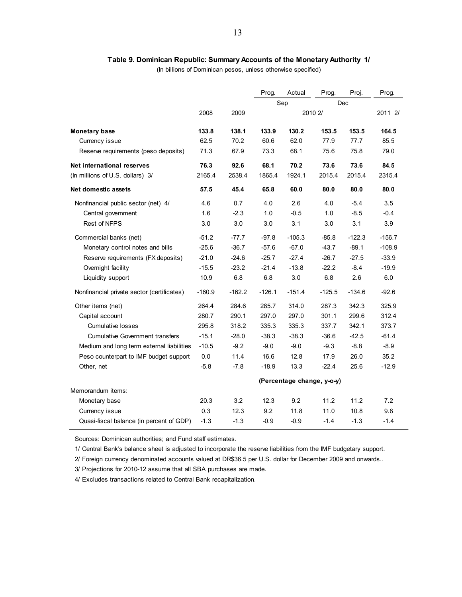#### **Table 9. Dominican Republic: Summary Accounts of the Monetary Authority 1/**

(In billions of Dominican pesos, unless otherwise specified)

|                                            |          |          | Prog.                      | Actual   | Prog.    | Proj.    | Prog.    |  |  |
|--------------------------------------------|----------|----------|----------------------------|----------|----------|----------|----------|--|--|
|                                            |          |          |                            | Sep      |          | Dec      |          |  |  |
|                                            | 2008     | 2009     |                            |          | 2010 2/  |          | 2011 2/  |  |  |
| <b>Monetary base</b>                       | 133.8    | 138.1    | 133.9                      | 130.2    | 153.5    | 153.5    | 164.5    |  |  |
| Currency issue                             | 62.5     | 70.2     | 60.6                       | 62.0     | 77.9     | 77.7     | 85.5     |  |  |
| Reserve requirements (peso deposits)       | 71.3     | 67.9     | 73.3                       | 68.1     | 75.6     | 75.8     | 79.0     |  |  |
| Net international reserves                 | 76.3     | 92.6     | 68.1                       | 70.2     | 73.6     | 73.6     | 84.5     |  |  |
| (In millions of U.S. dollars) 3/           | 2165.4   | 2538.4   | 1865.4                     | 1924.1   | 2015.4   | 2015.4   | 2315.4   |  |  |
| Net domestic assets                        | 57.5     | 45.4     | 65.8                       | 60.0     | 80.0     | 80.0     | 80.0     |  |  |
| Nonfinancial public sector (net) 4/        | 4.6      | 0.7      | 4.0                        | 2.6      | 4.0      | $-5.4$   | 3.5      |  |  |
| Central government                         | 1.6      | $-2.3$   | 1.0                        | $-0.5$   | 1.0      | $-8.5$   | $-0.4$   |  |  |
| <b>Rest of NFPS</b>                        | 3.0      | 3.0      | 3.0                        | 3.1      | 3.0      | 3.1      | 3.9      |  |  |
| Commercial banks (net)                     | $-51.2$  | $-77.7$  | $-97.8$                    | $-105.3$ | $-85.8$  | $-122.3$ | $-156.7$ |  |  |
| Monetary control notes and bills           | $-25.6$  | $-36.7$  | $-57.6$                    | $-67.0$  | $-43.7$  | $-89.1$  | $-108.9$ |  |  |
| Reserve requirements (FX deposits)         | $-21.0$  | $-24.6$  | $-25.7$                    | $-27.4$  | $-26.7$  | $-27.5$  | $-33.9$  |  |  |
| Overnight facility                         | $-15.5$  | $-23.2$  | $-21.4$                    | $-13.8$  | $-22.2$  | $-8.4$   | $-19.9$  |  |  |
| Liquidity support                          | 10.9     | 6.8      | 6.8                        | 3.0      | 6.8      | 2.6      | 6.0      |  |  |
| Nonfinancial private sector (certificates) | $-160.9$ | $-162.2$ | $-126.1$                   | $-151.4$ | $-125.5$ | $-134.6$ | $-92.6$  |  |  |
| Other items (net)                          | 264.4    | 284.6    | 285.7                      | 314.0    | 287.3    | 342.3    | 325.9    |  |  |
| Capital account                            | 280.7    | 290.1    | 297.0                      | 297.0    | 301.1    | 299.6    | 312.4    |  |  |
| <b>Cumulative losses</b>                   | 295.8    | 318.2    | 335.3                      | 335.3    | 337.7    | 342.1    | 373.7    |  |  |
| <b>Cumulative Government transfers</b>     | $-15.1$  | $-28.0$  | $-38.3$                    | $-38.3$  | $-36.6$  | $-42.5$  | $-61.4$  |  |  |
| Medium and long term external liabilities  | $-10.5$  | $-9.2$   | $-9.0$                     | $-9.0$   | $-9.3$   | $-8.8$   | $-8.9$   |  |  |
| Peso counterpart to IMF budget support     | 0.0      | 11.4     | 16.6                       | 12.8     | 17.9     | 26.0     | 35.2     |  |  |
| Other, net                                 | $-5.8$   | $-7.8$   | $-18.9$                    | 13.3     | $-22.4$  | 25.6     | $-12.9$  |  |  |
|                                            |          |          | (Percentage change, y-o-y) |          |          |          |          |  |  |
| Memorandum items:                          |          |          |                            |          |          |          |          |  |  |
| Monetary base                              | 20.3     | 3.2      | 12.3                       | 9.2      | 11.2     | 11.2     | 7.2      |  |  |
| Currency issue                             | 0.3      | 12.3     | 9.2                        | 11.8     | 11.0     | 10.8     | 9.8      |  |  |
| Quasi-fiscal balance (in percent of GDP)   | $-1.3$   | $-1.3$   | $-0.9$                     | $-0.9$   | $-1.4$   | $-1.3$   | $-1.4$   |  |  |

Sources: Dominican authorities; and Fund staff estimates.

1/ Central Bank's balance sheet is adjusted to incorporate the reserve liabilities from the IMF budgetary support.

2/ Foreign currency denominated accounts valued at DR\$36.5 per U.S. dollar for December 2009 and onwards..

3/ Projections for 2010-12 assume that all SBA purchases are made.

4/ Excludes transactions related to Central Bank recapitalization.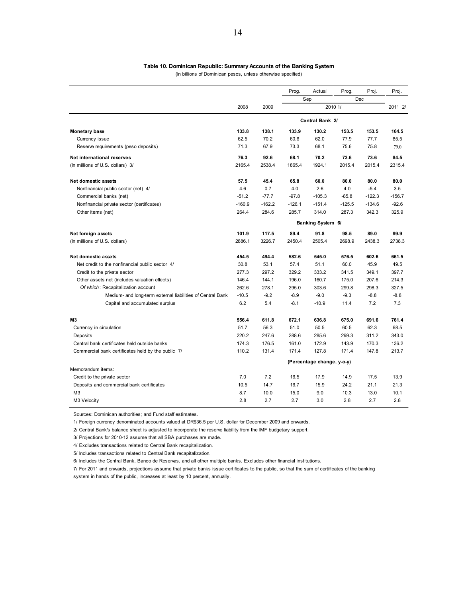#### **Table 10. Dominican Republic: Summary Accounts of the Banking System**

(In billions of Dominican pesos, unless otherwise specified)

|                                                            |          |          | Prog.             | Actual                     | Prog.    | Proj.    | Proj.    |  |  |  |
|------------------------------------------------------------|----------|----------|-------------------|----------------------------|----------|----------|----------|--|--|--|
|                                                            |          |          |                   | Sep                        |          | Dec      |          |  |  |  |
|                                                            | 2008     | 2009     |                   |                            | 2010 1/  |          | 2011 2/  |  |  |  |
|                                                            |          |          |                   | Central Bank 2/            |          |          |          |  |  |  |
| <b>Monetary base</b>                                       | 133.8    | 138.1    | 133.9             | 130.2                      | 153.5    | 153.5    | 164.5    |  |  |  |
| Currency issue                                             | 62.5     | 70.2     | 60.6              | 62.0                       | 77.9     | 77.7     | 85.5     |  |  |  |
| Reserve requirements (peso deposits)                       | 71.3     | 67.9     | 73.3              | 68.1                       | 75.6     | 75.8     | 79.0     |  |  |  |
| Net international reserves                                 | 76.3     | 92.6     | 68.1              | 70.2                       | 73.6     | 73.6     | 84.5     |  |  |  |
| (In millions of U.S. dollars) 3/                           | 2165.4   | 2538.4   | 1865.4            | 1924.1                     | 2015.4   | 2015.4   | 2315.4   |  |  |  |
| Net domestic assets                                        | 57.5     | 45.4     | 65.8              | 60.0                       | 80.0     | 80.0     | 80.0     |  |  |  |
| Nonfinancial public sector (net) 4/                        | 4.6      | 0.7      | 4.0               | 2.6                        | 4.0      | $-5.4$   | 3.5      |  |  |  |
| Commercial banks (net)                                     | $-51.2$  | $-77.7$  | $-97.8$           | $-105.3$                   | $-85.8$  | $-122.3$ | $-156.7$ |  |  |  |
| Nonfinancial private sector (certificates)                 | $-160.9$ | $-162.2$ | $-126.1$          | $-151.4$                   | $-125.5$ | $-134.6$ | $-92.6$  |  |  |  |
| Other items (net)                                          | 264.4    | 284.6    | 285.7             | 314.0                      | 287.3    | 342.3    | 325.9    |  |  |  |
|                                                            |          |          | Banking System 6/ |                            |          |          |          |  |  |  |
| Net foreign assets                                         | 101.9    | 117.5    | 89.4              | 91.8                       | 98.5     | 89.0     | 99.9     |  |  |  |
| (In millions of U.S. dollars)                              | 2886.1   | 3226.7   | 2450.4            | 2505.4                     | 2698.9   | 2438.3   | 2738.3   |  |  |  |
| Net domestic assets                                        | 454.5    | 494.4    | 582.6             | 545.0                      | 576.5    | 602.6    | 661.5    |  |  |  |
| Net credit to the nonfinancial public sector 4/            | 30.8     | 53.1     | 57.4              | 51.1                       | 60.0     | 45.9     | 49.5     |  |  |  |
| Credit to the private sector                               | 277.3    | 297.2    | 329.2             | 333.2                      | 341.5    | 349.1    | 397.7    |  |  |  |
| Other assets net (includes valuation effects)              | 146.4    | 144.1    | 196.0             | 160.7                      | 175.0    | 207.6    | 214.3    |  |  |  |
| Of which: Recapitalization account                         | 262.6    | 278.1    | 295.0             | 303.6                      | 299.8    | 298.3    | 327.5    |  |  |  |
| Medium- and long-term external liabilities of Central Bank | $-10.5$  | $-9.2$   | $-8.9$            | $-9.0$                     | $-9.3$   | $-8.8$   | $-8.8$   |  |  |  |
| Capital and accumulated surplus                            | 6.2      | 5.4      | $-8.1$            | $-10.9$                    | 11.4     | 7.2      | 7.3      |  |  |  |
| MЗ                                                         | 556.4    | 611.8    | 672.1             | 636.8                      | 675.0    | 691.6    | 761.4    |  |  |  |
| Currency in circulation                                    | 51.7     | 56.3     | 51.0              | 50.5                       | 60.5     | 62.3     | 68.5     |  |  |  |
| Deposits                                                   | 220.2    | 247.6    | 288.6             | 285.6                      | 299.3    | 311.2    | 343.0    |  |  |  |
| Central bank certificates held outside banks               | 174.3    | 176.5    | 161.0             | 172.9                      | 143.9    | 170.3    | 136.2    |  |  |  |
| Commercial bank certificates held by the public 7/         | 110.2    | 131.4    | 171.4             | 127.8                      | 171.4    | 147.8    | 213.7    |  |  |  |
|                                                            |          |          |                   | (Percentage change, y-o-y) |          |          |          |  |  |  |
| Memorandum items:                                          |          |          |                   |                            |          |          |          |  |  |  |
| Credit to the private sector                               | 7.0      | 7.2      | 16.5              | 17.9                       | 14.9     | 17.5     | 13.9     |  |  |  |
| Deposits and commercial bank certificates                  | 10.5     | 14.7     | 16.7              | 15.9                       | 24.2     | 21.1     | 21.3     |  |  |  |
| M <sub>3</sub>                                             | 8.7      | 10.0     | 15.0              | 9.0                        | 10.3     | 13.0     | 10.1     |  |  |  |
| M3 Velocity                                                | 2.8      | 2.7      | 2.7               | 3.0                        | 2.8      | 2.7      | 2.8      |  |  |  |

Sources: Dominican authorities; and Fund staff estimates.

1/ Foreign currency denominated accounts valued at DR\$36.5 per U.S. dollar for December 2009 and onwards.

2/ Central Bank's balance sheet is adjusted to incorporate the reserve liability from the IMF budgetary support.

3/ Projections for 2010-12 assume that all SBA purchases are made.

4/ Excludes transactions related to Central Bank recapitalization.

5/ Includes transactions related to Central Bank recapitalization.

6/ Includes the Central Bank, Banco de Reservas, and all other multiple banks. Excludes other financial institutions.

system in hands of the public, increases at least by 10 percent, annually. 7/ For 2011 and onwards, projections assume that private banks issue certificates to the public, so that the sum of certificates of the banking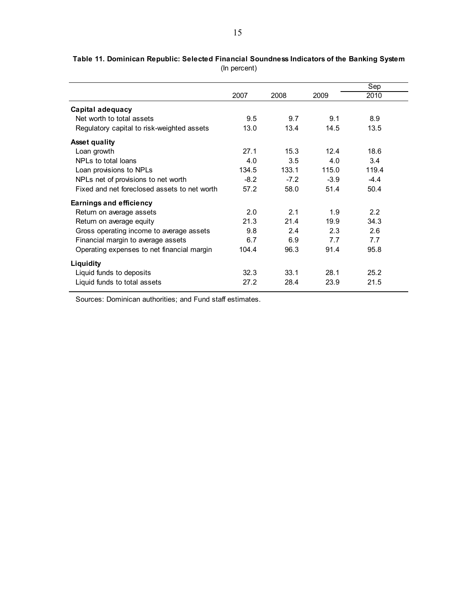|                                              |        |        |        | Sep    |
|----------------------------------------------|--------|--------|--------|--------|
|                                              | 2007   | 2008   | 2009   | 2010   |
| Capital adequacy                             |        |        |        |        |
| Net worth to total assets                    | 9.5    | 9.7    | 9.1    | 8.9    |
| Regulatory capital to risk-weighted assets   | 13.0   | 13.4   | 14.5   | 13.5   |
| <b>Asset quality</b>                         |        |        |        |        |
| Loan growth                                  | 27.1   | 15.3   | 12.4   | 18.6   |
| NPLs to total loans                          | 4.0    | 3.5    | 4.0    | 3.4    |
| Loan provisions to NPLs                      | 134.5  | 133.1  | 115.0  | 119.4  |
| NPLs net of provisions to net worth          | $-8.2$ | $-7.2$ | $-3.9$ | $-4.4$ |
| Fixed and net foreclosed assets to net worth | 57.2   | 58.0   | 51.4   | 50.4   |
| <b>Earnings and efficiency</b>               |        |        |        |        |
| Return on average assets                     | 2.0    | 2.1    | 1.9    | 2.2    |
| Return on average equity                     | 21.3   | 21.4   | 19.9   | 34.3   |
| Gross operating income to average assets     | 9.8    | 2.4    | 2.3    | 2.6    |
| Financial margin to average assets           | 6.7    | 6.9    | 7.7    | 7.7    |
| Operating expenses to net financial margin   | 104.4  | 96.3   | 91.4   | 95.8   |
| Liquidity                                    |        |        |        |        |
| Liquid funds to deposits                     | 32.3   | 33.1   | 28.1   | 25.2   |
| Liquid funds to total assets                 | 27.2   | 28.4   | 23.9   | 21.5   |

**Table 11. Dominican Republic: Selected Financial Soundness Indicators of the Banking System** (In percent)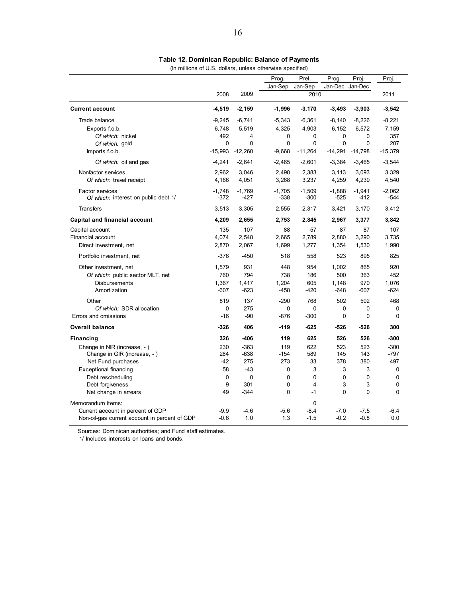| (In millions of U.S. dollars, unless otherwise specified) |  |
|-----------------------------------------------------------|--|
|-----------------------------------------------------------|--|

|                                               |           |              | Prog.    | Prel.     | Prog.        | Proj         | Proj.       |
|-----------------------------------------------|-----------|--------------|----------|-----------|--------------|--------------|-------------|
|                                               |           |              | Jan-Sep  | Jan-Sep   | Jan-Dec      | Jan-Dec      |             |
|                                               | 2008      | 2009         |          | 2010      |              |              | 2011        |
| <b>Current account</b>                        | $-4,519$  | $-2,159$     | $-1,996$ | $-3,170$  | $-3,493$     | $-3,903$     | $-3,542$    |
| Trade balance                                 | $-9,245$  | $-6,741$     | $-5,343$ | $-6,361$  | $-8,140$     | $-8,226$     | $-8,221$    |
| Exports f.o.b.                                | 6,748     | 5,519        | 4,325    | 4,903     | 6,152        | 6,572        | 7,159       |
| Of which: nickel                              | 492       | 4            | 0        | 0         | $\mathbf 0$  | $\Omega$     | 357         |
| Of which: gold                                | 0         | $\mathbf{0}$ | 0        | $\Omega$  | $\mathbf{0}$ | $\Omega$     | 207         |
| Imports f.o.b.                                | $-15,993$ | $-12,260$    | $-9,668$ | $-11,264$ | $-14,291$    | $-14,798$    | $-15,379$   |
| Of which: oil and gas                         | $-4,241$  | $-2,641$     | $-2,465$ | $-2,601$  | $-3,384$     | $-3,465$     | $-3,544$    |
| Nonfactor services                            | 2,962     | 3,046        | 2,498    | 2,383     | 3,113        | 3,093        | 3,329       |
| Of which: travel receipt                      | 4,166     | 4,051        | 3,268    | 3,237     | 4,259        | 4,239        | 4,540       |
| <b>Factor services</b>                        | $-1,748$  | $-1,769$     | $-1,705$ | $-1,509$  | $-1,888$     | $-1,941$     | $-2,062$    |
| Of which: interest on public debt 1/          | -372      | -427         | -338     | $-300$    | $-525$       | $-412$       | $-544$      |
| <b>Transfers</b>                              | 3,513     | 3,305        | 2,555    | 2,317     | 3,421        | 3,170        | 3,412       |
| Capital and financial account                 | 4,209     | 2,655        | 2,753    | 2,845     | 2,967        | 3,377        | 3,842       |
| Capital account                               | 135       | 107          | 88       | 57        | 87           | 87           | 107         |
| Financial account                             | 4,074     | 2,548        | 2,665    | 2,789     | 2,880        | 3,290        | 3,735       |
| Direct investment, net                        | 2,870     | 2,067        | 1,699    | 1,277     | 1,354        | 1,530        | 1,990       |
| Portfolio investment, net                     | $-376$    | $-450$       | 518      | 558       | 523          | 895          | 825         |
| Other investment, net                         | 1,579     | 931          | 448      | 954       | 1,002        | 865          | 920         |
| Of which: public sector MLT, net              | 760       | 794          | 738      | 186       | 500          | 363          | 452         |
| <b>Disbursements</b>                          | 1,367     | 1,417        | 1,204    | 605       | 1,148        | 970          | 1,076       |
| Amortization                                  | $-607$    | $-623$       | $-458$   | $-420$    | $-648$       | $-607$       | $-624$      |
| Other                                         | 819       | 137          | $-290$   | 768       | 502          | 502          | 468         |
| Of which: SDR allocation                      | 0         | 275          | 0        | 0         | 0            | $\Omega$     | $\mathbf 0$ |
| Errors and omissions                          | $-16$     | $-90$        | $-876$   | $-300$    | $\mathbf 0$  | $\mathbf{0}$ | $\Omega$    |
| <b>Overall balance</b>                        | $-326$    | 406          | $-119$   | $-625$    | $-526$       | $-526$       | 300         |
| Financing                                     | 326       | -406         | 119      | 625       | 526          | 526          | $-300$      |
| Change in NIR (increase, -)                   | 230       | $-363$       | 119      | 622       | 523          | 523          | $-300$      |
| Change in GIR (increase, -)                   | 284       | $-638$       | $-154$   | 589       | 145          | 143          | $-797$      |
| Net Fund purchases                            | $-42$     | 275          | 273      | 33        | 378          | 380          | 497         |
| <b>Exceptional financing</b>                  | 58        | $-43$        | 0        | 3         | 3            | 3            | 0           |
| Debt rescheduling                             | $\Omega$  | $\mathbf{0}$ | $\Omega$ | 0         | 0            | $\Omega$     | $\Omega$    |
| Debt forgiveness                              | 9         | 301          | 0        | 4         | 3            | 3            | $\mathbf 0$ |
| Net change in arrears                         | 49        | $-344$       | 0        | $-1$      | $\mathbf 0$  | $\mathbf 0$  | $\mathbf 0$ |
| Memorandum items:                             |           |              |          | 0         |              |              |             |
| Current account in percent of GDP             | $-9.9$    | $-4.6$       | $-5.6$   | $-8.4$    | $-7.0$       | $-7.5$       | $-6.4$      |
| Non-oil-gas current account in percent of GDP | $-0.6$    | 1.0          | 1.3      | $-1.5$    | $-0.2$       | $-0.8$       | 0.0         |

1/ Includes interests on loans and bonds.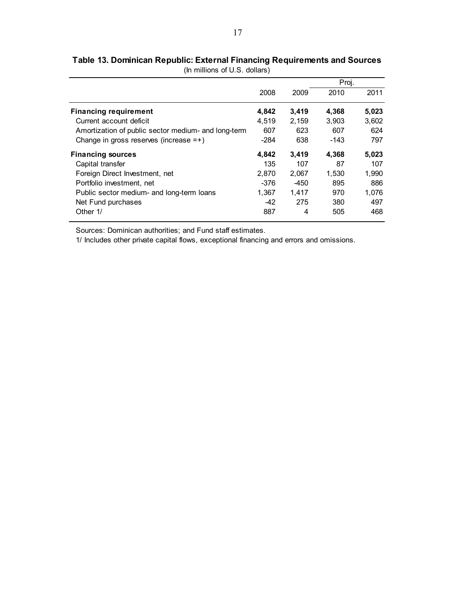|                                                     |        |       | Proj.  |       |
|-----------------------------------------------------|--------|-------|--------|-------|
|                                                     | 2008   | 2009  | 2010   | 2011  |
| <b>Financing requirement</b>                        | 4,842  | 3,419 | 4,368  | 5,023 |
| Current account deficit                             | 4.519  | 2,159 | 3.903  | 3,602 |
| Amortization of public sector medium- and long-term | 607    | 623   | 607    | 624   |
| Change in gross reserves (increase $=+)$            | $-284$ | 638   | $-143$ | 797   |
| <b>Financing sources</b>                            | 4.842  | 3,419 | 4.368  | 5,023 |
| Capital transfer                                    | 135    | 107   | 87     | 107   |
| Foreign Direct Investment, net                      | 2.870  | 2.067 | 1.530  | 1,990 |
| Portfolio investment, net                           | $-376$ | -450  | 895    | 886   |
| Public sector medium- and long-term loans           | 1,367  | 1,417 | 970    | 1,076 |
| Net Fund purchases                                  | $-42$  | 275   | 380    | 497   |
| Other 1/                                            | 887    | 4     | 505    | 468   |

**Table 13. Dominican Republic: External Financing Requirements and Sources** (In millions of U.S. dollars)

1/ Includes other private capital flows, exceptional financing and errors and omissions.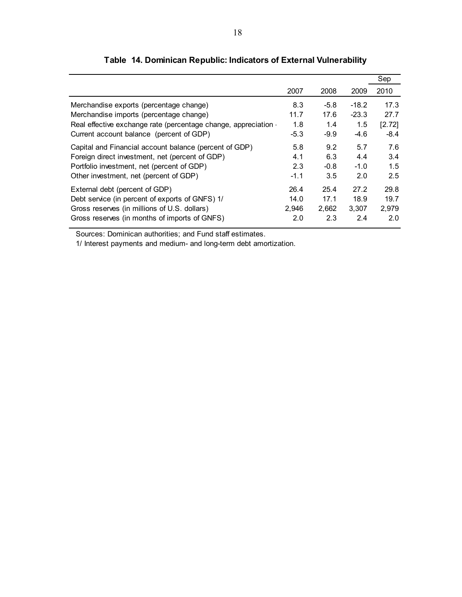|                                                               |        |        |         | Sep    |
|---------------------------------------------------------------|--------|--------|---------|--------|
|                                                               | 2007   | 2008   | 2009    | 2010   |
| Merchandise exports (percentage change)                       | 8.3    | $-5.8$ | $-18.2$ | 17.3   |
| Merchandise imports (percentage change)                       | 11.7   | 17.6   | $-23.3$ | 27.7   |
| Real effective exchange rate (percentage change, appreciation | 1.8    | 1.4    | 1.5     | [2.72] |
| Current account balance (percent of GDP)                      | $-5.3$ | $-9.9$ | $-4.6$  | $-8.4$ |
| Capital and Financial account balance (percent of GDP)        | 5.8    | 9.2    | 5.7     | 7.6    |
| Foreign direct investment, net (percent of GDP)               | 4.1    | 6.3    | 4.4     | 3.4    |
| Portfolio investment, net (percent of GDP)                    | 2.3    | $-0.8$ | $-1.0$  | 1.5    |
| Other investment, net (percent of GDP)                        | $-1.1$ | 3.5    | 2.0     | 2.5    |
| External debt (percent of GDP)                                | 26.4   | 25.4   | 27.2    | 29.8   |
| Debt service (in percent of exports of GNFS) 1/               | 14.0   | 17.1   | 18.9    | 19.7   |
| Gross reserves (in millions of U.S. dollars)                  | 2,946  | 2,662  | 3,307   | 2,979  |
| Gross reserves (in months of imports of GNFS)                 | 2.0    | 2.3    | 2.4     | 2.0    |

# **Table 14. Dominican Republic: Indicators of External Vulnerability**

Sources: Dominican authorities; and Fund staff estimates.

1/ Interest payments and medium- and long-term debt amortization.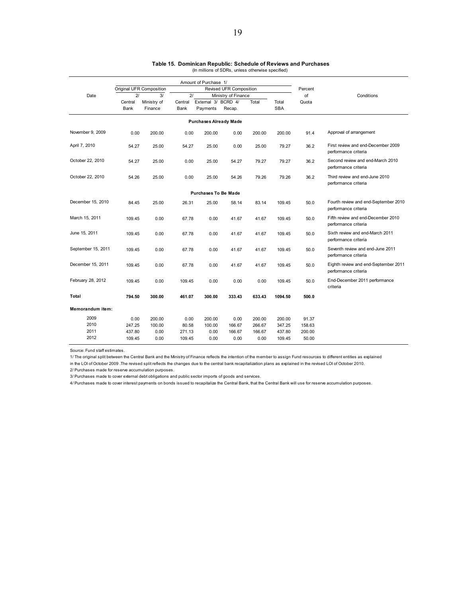|                    |                 |                          |                 | Amount of Purchase 1/           |                     |         |                     |        |                                                              |
|--------------------|-----------------|--------------------------|-----------------|---------------------------------|---------------------|---------|---------------------|--------|--------------------------------------------------------------|
|                    |                 | Original UFR Composition |                 | Revised UFR Composition         |                     | Percent |                     |        |                                                              |
| Date               | 2 <sup>j</sup>  | 3/                       | 2/              |                                 | Ministry of Finance |         |                     | of     | Conditions                                                   |
|                    | Central<br>Bank | Ministry of<br>Finance   | Central<br>Bank | External 3/ BCRD 4/<br>Payments | Recap.              | Total   | Total<br><b>SBA</b> | Quota  |                                                              |
|                    |                 |                          |                 | <b>Purchases Already Made</b>   |                     |         |                     |        |                                                              |
| November 9, 2009   | 0.00            | 200.00                   | 0.00            | 200.00                          | 0.00                | 200.00  | 200.00              | 91.4   | Approval of arrangement                                      |
| April 7, 2010      | 54.27           | 25.00                    | 54.27           | 25.00                           | 0.00                | 25.00   | 79.27               | 36.2   | First review and end-December 2009<br>performance criteria   |
| October 22, 2010   | 54.27           | 25.00                    | 0.00            | 25.00                           | 54.27               | 79.27   | 79.27               | 36.2   | Second review and end-March 2010<br>performance criteria     |
| October 22, 2010   | 54.26           | 25.00                    | 0.00            | 25.00                           | 54.26               | 79.26   | 79.26               | 36.2   | Third review and end-June 2010<br>performance criteria       |
|                    |                 |                          |                 | Purchases To Be Made            |                     |         |                     |        |                                                              |
| December 15, 2010  | 84.45           | 25.00                    | 26.31           | 25.00                           | 58.14               | 83.14   | 109.45              | 50.0   | Fourth review and end-September 2010<br>performance criteria |
| March 15, 2011     | 109.45          | 0.00                     | 67.78           | 0.00                            | 41.67               | 41.67   | 109.45              | 50.0   | Fifth review and end-December 2010<br>performance criteria   |
| June 15, 2011      | 109.45          | 0.00                     | 67.78           | 0.00                            | 41.67               | 41.67   | 109.45              | 50.0   | Sixth review and end-March 2011<br>performance criteria      |
| September 15, 2011 | 109.45          | 0.00                     | 67.78           | 0.00                            | 41.67               | 41.67   | 109.45              | 50.0   | Seventh review and end-June 2011<br>performance criteria     |
| December 15, 2011  | 109.45          | 0.00                     | 67.78           | 0.00                            | 41.67               | 41.67   | 109.45              | 50.0   | Eighth review and end-September 2011<br>performance criteria |
| February 28, 2012  | 109.45          | 0.00                     | 109.45          | 0.00                            | 0.00                | 0.00    | 109.45              | 50.0   | End-December 2011 performance<br>criteria                    |
| Total              | 794.50          | 300.00                   | 461.07          | 300.00                          | 333.43              | 633.43  | 1094.50             | 500.0  |                                                              |
| Memorandum item:   |                 |                          |                 |                                 |                     |         |                     |        |                                                              |
| 2009               | 0.00            | 200.00                   | 0.00            | 200.00                          | 0.00                | 200.00  | 200.00              | 91.37  |                                                              |
| 2010               | 247.25          | 100.00                   | 80.58           | 100.00                          | 166.67              | 266.67  | 347.25              | 158.63 |                                                              |
| 2011               | 437.80          | 0.00                     | 271.13          | 0.00                            | 166.67              | 166.67  | 437.80              | 200.00 |                                                              |
| 2012               | 109.45          | 0.00                     | 109.45          | 0.00                            | 0.00                | 0.00    | 109.45              | 50.00  |                                                              |

# **Table 15. Dominican Republic: Schedule of Reviews and Purchases** (In millions of SDRs, unless otherwise specified)

Source: Fund staff estimates.

1/ The original split between the Central Bank and the Ministry of Finance reflects the intention of the member to assign Fund resources to different entities as explained

in the LOI of October 2009 .The revised split reflects the changes due to the central bank recapitalization plans as explained in the revised LOI of October 2010.

2/ Purchases made for reserve accumulation purposes.

3/ Purchases made to cover external debt obligations and public sector imports of goods and services.

4/ Purchases made to cover interest payments on bonds issued to recapitalize the Central Bank, that the Central Bank will use for reserve accumulation purposes.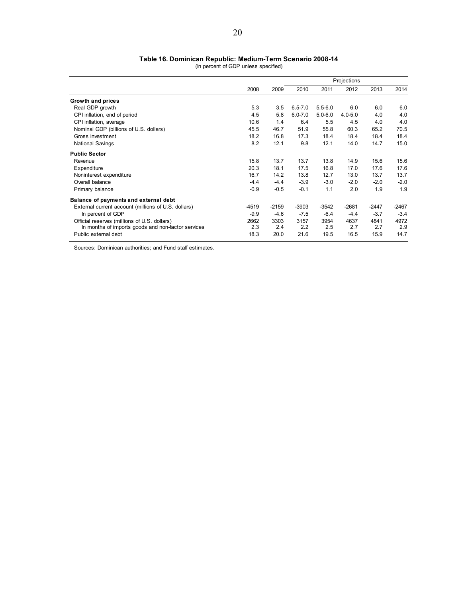#### **Table 16. Dominican Republic: Medium-Term Scenario 2008-14**

(In percent of GDP unless specified)

|                                                     |        |         |             |             | Projections |         |         |
|-----------------------------------------------------|--------|---------|-------------|-------------|-------------|---------|---------|
|                                                     | 2008   | 2009    | 2010        | 2011        | 2012        | 2013    | 2014    |
| Growth and prices                                   |        |         |             |             |             |         |         |
| Real GDP growth                                     | 5.3    | 3.5     | $6.5 - 7.0$ | $5.5 - 6.0$ | 6.0         | 6.0     | 6.0     |
| CPI inflation, end of period                        | 4.5    | 5.8     | $6.0 - 7.0$ | $5.0 - 6.0$ | $4.0 - 5.0$ | 4.0     | 4.0     |
| CPI inflation, average                              | 10.6   | 1.4     | 6.4         | 5.5         | 4.5         | 4.0     | 4.0     |
| Nominal GDP (billions of U.S. dollars)              | 45.5   | 46.7    | 51.9        | 55.8        | 60.3        | 65.2    | 70.5    |
| Gross investment                                    | 18.2   | 16.8    | 17.3        | 18.4        | 18.4        | 18.4    | 18.4    |
| <b>National Savings</b>                             | 8.2    | 12.1    | 9.8         | 12.1        | 14.0        | 14.7    | 15.0    |
| <b>Public Sector</b>                                |        |         |             |             |             |         |         |
| Revenue                                             | 15.8   | 13.7    | 13.7        | 13.8        | 14.9        | 15.6    | 15.6    |
| Expenditure                                         | 20.3   | 18.1    | 17.5        | 16.8        | 17.0        | 17.6    | 17.6    |
| Noninterest expenditure                             | 16.7   | 14.2    | 13.8        | 12.7        | 13.0        | 13.7    | 13.7    |
| Overall balance                                     | $-4.4$ | $-4.4$  | $-3.9$      | $-3.0$      | $-2.0$      | $-2.0$  | $-2.0$  |
| Primary balance                                     | $-0.9$ | $-0.5$  | $-0.1$      | 1.1         | 2.0         | 1.9     | 1.9     |
| Balance of payments and external debt               |        |         |             |             |             |         |         |
| External current account (millions of U.S. dollars) | -4519  | $-2159$ | $-3903$     | $-3542$     | $-2681$     | $-2447$ | $-2467$ |
| In percent of GDP                                   | $-9.9$ | $-4.6$  | $-7.5$      | $-6.4$      | $-4.4$      | $-3.7$  | $-3.4$  |
| Official reserves (millions of U.S. dollars)        | 2662   | 3303    | 3157        | 3954        | 4637        | 4841    | 4972    |
| In months of imports goods and non-factor services  | 2.3    | 2.4     | 2.2         | 2.5         | 2.7         | 2.7     | 2.9     |
| Public external debt                                | 18.3   | 20.0    | 21.6        | 19.5        | 16.5        | 15.9    | 14.7    |

Sources: Dominican authorities; and Fund staff estimates.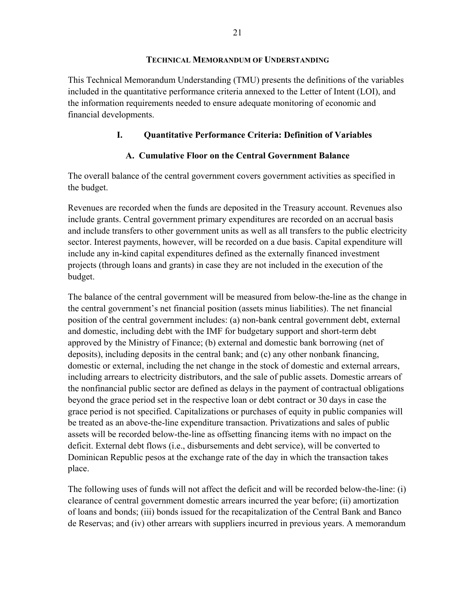This Technical Memorandum Understanding (TMU) presents the definitions of the variables included in the quantitative performance criteria annexed to the Letter of Intent (LOI), and the information requirements needed to ensure adequate monitoring of economic and financial developments.

# **I. Quantitative Performance Criteria: Definition of Variables**

# **A. Cumulative Floor on the Central Government Balance**

The overall balance of the central government covers government activities as specified in the budget.

Revenues are recorded when the funds are deposited in the Treasury account. Revenues also include grants. Central government primary expenditures are recorded on an accrual basis and include transfers to other government units as well as all transfers to the public electricity sector. Interest payments, however, will be recorded on a due basis. Capital expenditure will include any in-kind capital expenditures defined as the externally financed investment projects (through loans and grants) in case they are not included in the execution of the budget.

The balance of the central government will be measured from below-the-line as the change in the central government's net financial position (assets minus liabilities). The net financial position of the central government includes: (a) non-bank central government debt, external and domestic, including debt with the IMF for budgetary support and short-term debt approved by the Ministry of Finance; (b) external and domestic bank borrowing (net of deposits), including deposits in the central bank; and (c) any other nonbank financing, domestic or external, including the net change in the stock of domestic and external arrears, including arrears to electricity distributors, and the sale of public assets. Domestic arrears of the nonfinancial public sector are defined as delays in the payment of contractual obligations beyond the grace period set in the respective loan or debt contract or 30 days in case the grace period is not specified. Capitalizations or purchases of equity in public companies will be treated as an above-the-line expenditure transaction. Privatizations and sales of public assets will be recorded below-the-line as offsetting financing items with no impact on the deficit. External debt flows (i.e., disbursements and debt service), will be converted to Dominican Republic pesos at the exchange rate of the day in which the transaction takes place.

The following uses of funds will not affect the deficit and will be recorded below-the-line: (i) clearance of central government domestic arrears incurred the year before; (ii) amortization of loans and bonds; (iii) bonds issued for the recapitalization of the Central Bank and Banco de Reservas; and (iv) other arrears with suppliers incurred in previous years. A memorandum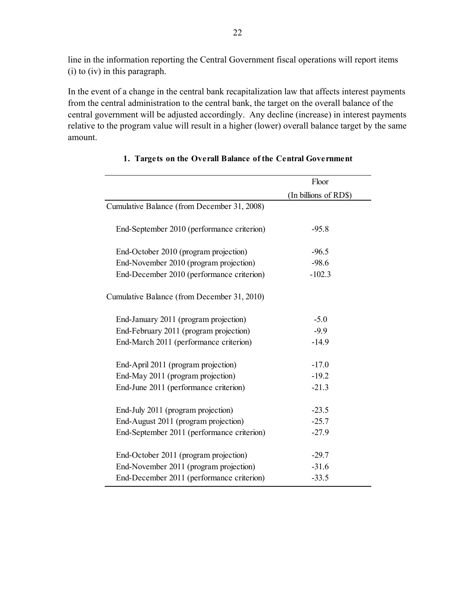line in the information reporting the Central Government fiscal operations will report items (i) to (iv) in this paragraph.

In the event of a change in the central bank recapitalization law that affects interest payments from the central administration to the central bank, the target on the overall balance of the central government will be adjusted accordingly. Any decline (increase) in interest payments relative to the program value will result in a higher (lower) overall balance target by the same amount.

|                                             | Floor                 |
|---------------------------------------------|-----------------------|
|                                             | (In billions of RD\$) |
| Cumulative Balance (from December 31, 2008) |                       |
| End-September 2010 (performance criterion)  | $-95.8$               |
| End-October 2010 (program projection)       | $-96.5$               |
| End-November 2010 (program projection)      | $-98.6$               |
| End-December 2010 (performance criterion)   | $-102.3$              |
| Cumulative Balance (from December 31, 2010) |                       |
| End-January 2011 (program projection)       | $-5.0$                |
| End-February 2011 (program projection)      | $-9.9$                |
| End-March 2011 (performance criterion)      | $-14.9$               |
| End-April 2011 (program projection)         | $-17.0$               |
| End-May 2011 (program projection)           | $-19.2$               |
| End-June 2011 (performance criterion)       | $-21.3$               |
| End-July 2011 (program projection)          | $-23.5$               |
| End-August 2011 (program projection)        | $-25.7$               |
| End-September 2011 (performance criterion)  | $-27.9$               |
| End-October 2011 (program projection)       | $-29.7$               |
| End-November 2011 (program projection)      | $-31.6$               |
| End-December 2011 (performance criterion)   | $-33.5$               |

# **1. Targets on the Overall Balance of the Central Government**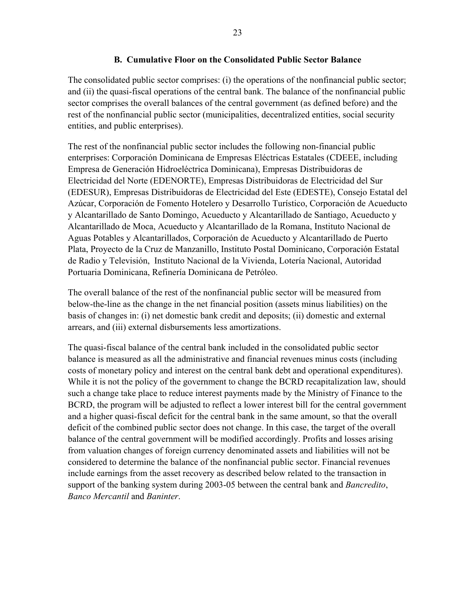The consolidated public sector comprises: (i) the operations of the nonfinancial public sector; and (ii) the quasi-fiscal operations of the central bank. The balance of the nonfinancial public sector comprises the overall balances of the central government (as defined before) and the rest of the nonfinancial public sector (municipalities, decentralized entities, social security entities, and public enterprises).

The rest of the nonfinancial public sector includes the following non-financial public enterprises: Corporación Dominicana de Empresas Eléctricas Estatales (CDEEE, including Empresa de Generación Hidroeléctrica Dominicana), Empresas Distribuidoras de Electricidad del Norte (EDENORTE), Empresas Distribuidoras de Electricidad del Sur (EDESUR), Empresas Distribuidoras de Electricidad del Este (EDESTE), Consejo Estatal del Azúcar, Corporación de Fomento Hotelero y Desarrollo Turístico, Corporación de Acueducto y Alcantarillado de Santo Domingo, Acueducto y Alcantarillado de Santiago, Acueducto y Alcantarillado de Moca, Acueducto y Alcantarillado de la Romana, Instituto Nacional de Aguas Potables y Alcantarillados, Corporación de Acueducto y Alcantarillado de Puerto Plata, Proyecto de la Cruz de Manzanillo, Instituto Postal Dominicano, Corporación Estatal de Radio y Televisión, Instituto Nacional de la Vivienda, Lotería Nacional, Autoridad Portuaria Dominicana, Refinería Dominicana de Petróleo.

The overall balance of the rest of the nonfinancial public sector will be measured from below-the-line as the change in the net financial position (assets minus liabilities) on the basis of changes in: (i) net domestic bank credit and deposits; (ii) domestic and external arrears, and (iii) external disbursements less amortizations.

The quasi-fiscal balance of the central bank included in the consolidated public sector balance is measured as all the administrative and financial revenues minus costs (including costs of monetary policy and interest on the central bank debt and operational expenditures). While it is not the policy of the government to change the BCRD recapitalization law, should such a change take place to reduce interest payments made by the Ministry of Finance to the BCRD, the program will be adjusted to reflect a lower interest bill for the central government and a higher quasi-fiscal deficit for the central bank in the same amount, so that the overall deficit of the combined public sector does not change. In this case, the target of the overall balance of the central government will be modified accordingly. Profits and losses arising from valuation changes of foreign currency denominated assets and liabilities will not be considered to determine the balance of the nonfinancial public sector. Financial revenues include earnings from the asset recovery as described below related to the transaction in support of the banking system during 2003-05 between the central bank and *Bancredito*, *Banco Mercantil* and *Baninter*.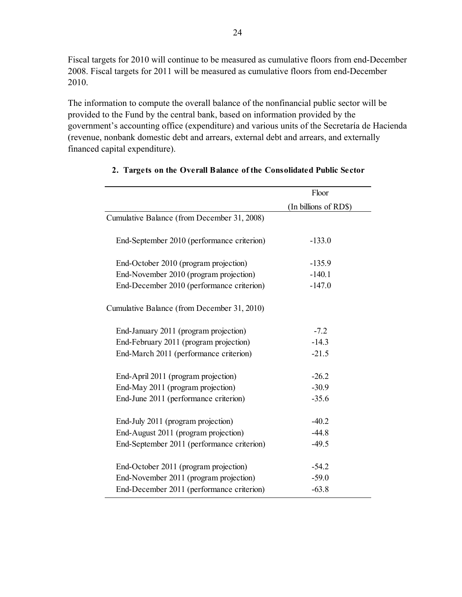Fiscal targets for 2010 will continue to be measured as cumulative floors from end-December 2008. Fiscal targets for 2011 will be measured as cumulative floors from end-December 2010.

The information to compute the overall balance of the nonfinancial public sector will be provided to the Fund by the central bank, based on information provided by the government's accounting office (expenditure) and various units of the Secretaría de Hacienda (revenue, nonbank domestic debt and arrears, external debt and arrears, and externally financed capital expenditure).

|                                             | Floor                 |
|---------------------------------------------|-----------------------|
|                                             | (In billions of RD\$) |
| Cumulative Balance (from December 31, 2008) |                       |
| End-September 2010 (performance criterion)  | $-133.0$              |
| End-October 2010 (program projection)       | $-135.9$              |
| End-November 2010 (program projection)      | $-140.1$              |
| End-December 2010 (performance criterion)   | $-147.0$              |
| Cumulative Balance (from December 31, 2010) |                       |
| End-January 2011 (program projection)       | $-7.2$                |
| End-February 2011 (program projection)      | $-14.3$               |
| End-March 2011 (performance criterion)      | $-21.5$               |
| End-April 2011 (program projection)         | $-26.2$               |
| End-May 2011 (program projection)           | $-30.9$               |
| End-June 2011 (performance criterion)       | $-35.6$               |
| End-July 2011 (program projection)          | $-40.2$               |
| End-August 2011 (program projection)        | $-44.8$               |
| End-September 2011 (performance criterion)  | $-49.5$               |
| End-October 2011 (program projection)       | $-54.2$               |
| End-November 2011 (program projection)      | $-59.0$               |
| End-December 2011 (performance criterion)   | $-63.8$               |

# **2. Targets on the Overall Balance of the Consolidated Public Sector**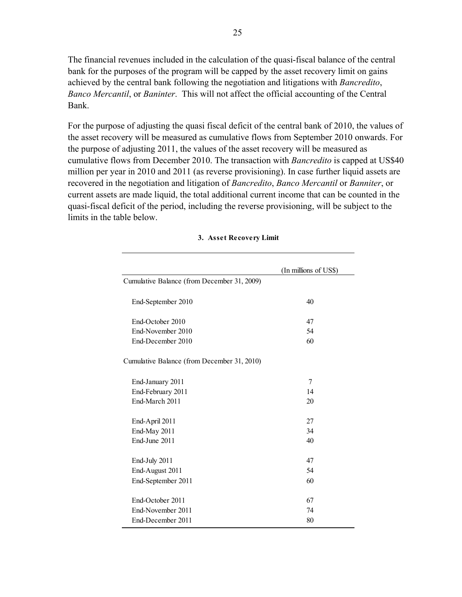The financial revenues included in the calculation of the quasi-fiscal balance of the central bank for the purposes of the program will be capped by the asset recovery limit on gains achieved by the central bank following the negotiation and litigations with *Bancredito*, *Banco Mercantil*, or *Baninter*. This will not affect the official accounting of the Central Bank.

For the purpose of adjusting the quasi fiscal deficit of the central bank of 2010, the values of the asset recovery will be measured as cumulative flows from September 2010 onwards. For the purpose of adjusting 2011, the values of the asset recovery will be measured as cumulative flows from December 2010. The transaction with *Bancredito* is capped at US\$40 million per year in 2010 and 2011 (as reverse provisioning). In case further liquid assets are recovered in the negotiation and litigation of *Bancredito*, *Banco Mercantil* or *Banniter*, or current assets are made liquid, the total additional current income that can be counted in the quasi-fiscal deficit of the period, including the reverse provisioning, will be subject to the limits in the table below.

|                                             | (In millions of US\$) |
|---------------------------------------------|-----------------------|
| Cumulative Balance (from December 31, 2009) |                       |
| End-September 2010                          | 40                    |
| End-October 2010                            | 47                    |
| End-November 2010                           | 54                    |
| End-December 2010                           | 60                    |
| Cumulative Balance (from December 31, 2010) |                       |
| End-January 2011                            | 7                     |
| End-February 2011                           | 14                    |
| End-March 2011                              | 20                    |
| End-April 2011                              | 27                    |
| End-May 2011                                | 34                    |
| End-June 2011                               | 40                    |
| End-July 2011                               | 47                    |
| End-August 2011                             | 54                    |
| End-September 2011                          | 60                    |
| End-October 2011                            | 67                    |
| End-November 2011                           | 74                    |
| End-December 2011                           | 80                    |

#### **3. Asset Recovery Limit**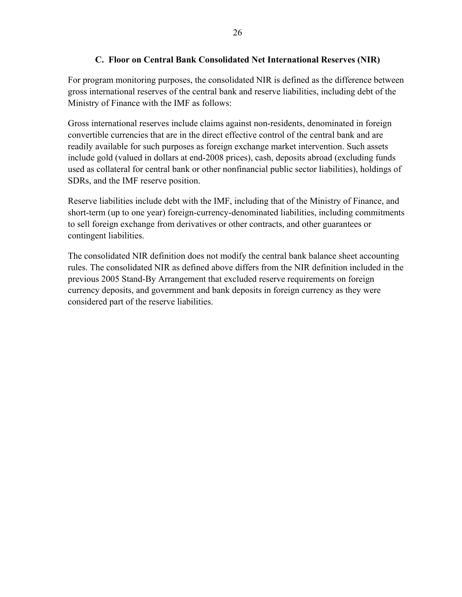# **C. Floor on Central Bank Consolidated Net International Reserves (NIR)**

For program monitoring purposes, the consolidated NIR is defined as the difference between gross international reserves of the central bank and reserve liabilities, including debt of the Ministry of Finance with the IMF as follows:

Gross international reserves include claims against non-residents, denominated in foreign convertible currencies that are in the direct effective control of the central bank and are readily available for such purposes as foreign exchange market intervention. Such assets include gold (valued in dollars at end-2008 prices), cash, deposits abroad (excluding funds used as collateral for central bank or other nonfinancial public sector liabilities), holdings of SDRs, and the IMF reserve position.

Reserve liabilities include debt with the IMF, including that of the Ministry of Finance, and short-term (up to one year) foreign-currency-denominated liabilities, including commitments to sell foreign exchange from derivatives or other contracts, and other guarantees or contingent liabilities.

The consolidated NIR definition does not modify the central bank balance sheet accounting rules. The consolidated NIR as defined above differs from the NIR definition included in the previous 2005 Stand-By Arrangement that excluded reserve requirements on foreign currency deposits, and government and bank deposits in foreign currency as they were considered part of the reserve liabilities.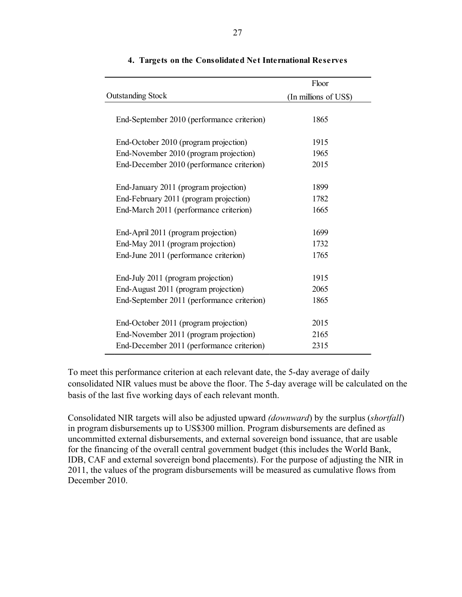|                                            | Floor                 |
|--------------------------------------------|-----------------------|
| <b>Outstanding Stock</b>                   | (In millions of US\$) |
|                                            |                       |
| End-September 2010 (performance criterion) | 1865                  |
|                                            |                       |
| End-October 2010 (program projection)      | 1915                  |
| End-November 2010 (program projection)     | 1965                  |
| End-December 2010 (performance criterion)  | 2015                  |
| End-January 2011 (program projection)      | 1899                  |
| End-February 2011 (program projection)     | 1782                  |
| End-March 2011 (performance criterion)     | 1665                  |
| End-April 2011 (program projection)        | 1699                  |
| End-May 2011 (program projection)          | 1732                  |
| End-June 2011 (performance criterion)      | 1765                  |
| End-July 2011 (program projection)         | 1915                  |
| End-August 2011 (program projection)       | 2065                  |
| End-September 2011 (performance criterion) | 1865                  |
| End-October 2011 (program projection)      | 2015                  |
| End-November 2011 (program projection)     | 2165                  |
|                                            |                       |
| End-December 2011 (performance criterion)  | 2315                  |

#### **4. Targets on the Consolidated Net International Reserves**

To meet this performance criterion at each relevant date, the 5-day average of daily consolidated NIR values must be above the floor. The 5-day average will be calculated on the basis of the last five working days of each relevant month.

Consolidated NIR targets will also be adjusted upward *(downward*) by the surplus (*shortfall*) in program disbursements up to US\$300 million. Program disbursements are defined as uncommitted external disbursements, and external sovereign bond issuance, that are usable for the financing of the overall central government budget (this includes the World Bank, IDB, CAF and external sovereign bond placements). For the purpose of adjusting the NIR in 2011, the values of the program disbursements will be measured as cumulative flows from December 2010.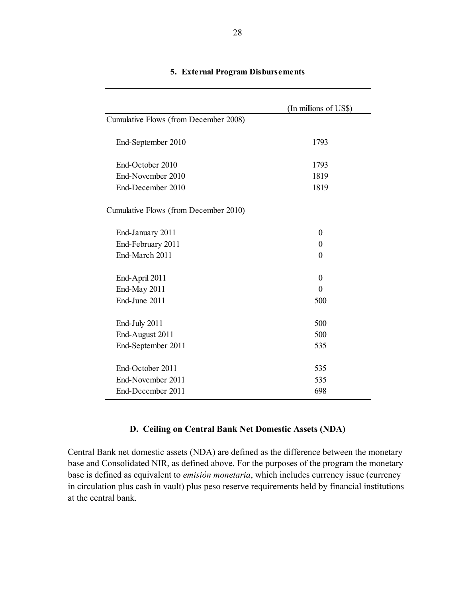|                                       | (In millions of US\$) |
|---------------------------------------|-----------------------|
| Cumulative Flows (from December 2008) |                       |
| End-September 2010                    | 1793                  |
| End-October 2010                      | 1793                  |
| End-November 2010                     | 1819                  |
| End-December 2010                     | 1819                  |
| Cumulative Flows (from December 2010) |                       |
| End-January 2011                      | $\theta$              |
| End-February 2011                     | $\theta$              |
| End-March 2011                        | $\theta$              |
| End-April 2011                        | $\theta$              |
| End-May 2011                          | $\theta$              |
| End-June 2011                         | 500                   |
| End-July 2011                         | 500                   |
| End-August 2011                       | 500                   |
| End-September 2011                    | 535                   |
| End-October 2011                      | 535                   |
| End-November 2011                     | 535                   |
| End-December 2011                     | 698                   |
|                                       |                       |

#### **5. External Program Disbursements**

# **D. Ceiling on Central Bank Net Domestic Assets (NDA)**

Central Bank net domestic assets (NDA) are defined as the difference between the monetary base and Consolidated NIR, as defined above. For the purposes of the program the monetary base is defined as equivalent to *emisión monetaria*, which includes currency issue (currency in circulation plus cash in vault) plus peso reserve requirements held by financial institutions at the central bank.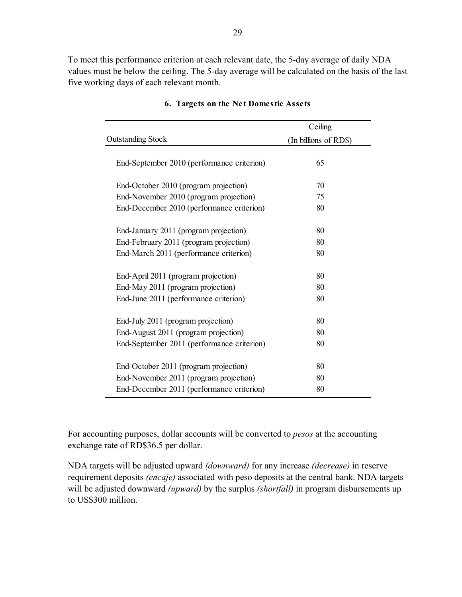To meet this performance criterion at each relevant date, the 5-day average of daily NDA values must be below the ceiling. The 5-day average will be calculated on the basis of the last five working days of each relevant month.

|                                            | Ceiling               |
|--------------------------------------------|-----------------------|
| <b>Outstanding Stock</b>                   | (In billions of RD\$) |
| End-September 2010 (performance criterion) | 65                    |
| End-October 2010 (program projection)      | 70                    |
| End-November 2010 (program projection)     | 75                    |
| End-December 2010 (performance criterion)  | 80                    |
| End-January 2011 (program projection)      | 80                    |
| End-February 2011 (program projection)     | 80                    |
| End-March 2011 (performance criterion)     | 80                    |
| End-April 2011 (program projection)        | 80                    |
| End-May 2011 (program projection)          | 80                    |
| End-June 2011 (performance criterion)      | 80                    |
| End-July 2011 (program projection)         | 80                    |
| End-August 2011 (program projection)       | 80                    |
| End-September 2011 (performance criterion) | 80                    |
| End-October 2011 (program projection)      | 80                    |
| End-November 2011 (program projection)     | 80                    |
| End-December 2011 (performance criterion)  | 80                    |

#### **6. Targets on the Net Domestic Assets**

For accounting purposes, dollar accounts will be converted to *pesos* at the accounting exchange rate of RD\$36.5 per dollar.

NDA targets will be adjusted upward *(downward)* for any increase *(decrease)* in reserve requirement deposits *(encaje)* associated with peso deposits at the central bank. NDA targets will be adjusted downward *(upward)* by the surplus *(shortfall)* in program disbursements up to US\$300 million.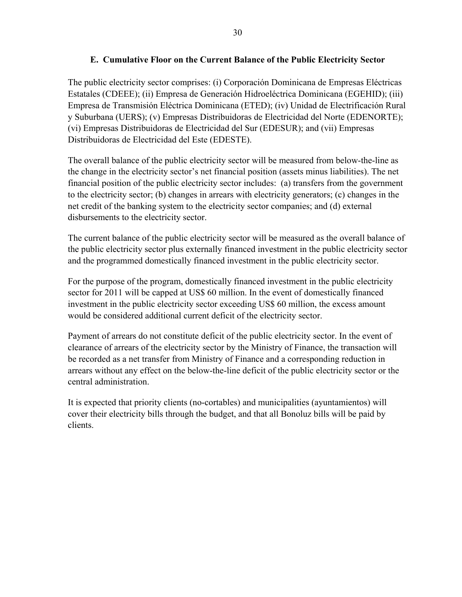# **E. Cumulative Floor on the Current Balance of the Public Electricity Sector**

The public electricity sector comprises: (i) Corporación Dominicana de Empresas Eléctricas Estatales (CDEEE); (ii) Empresa de Generación Hidroeléctrica Dominicana (EGEHID); (iii) Empresa de Transmisión Eléctrica Dominicana (ETED); (iv) Unidad de Electrificación Rural y Suburbana (UERS); (v) Empresas Distribuidoras de Electricidad del Norte (EDENORTE); (vi) Empresas Distribuidoras de Electricidad del Sur (EDESUR); and (vii) Empresas Distribuidoras de Electricidad del Este (EDESTE).

The overall balance of the public electricity sector will be measured from below-the-line as the change in the electricity sector's net financial position (assets minus liabilities). The net financial position of the public electricity sector includes: (a) transfers from the government to the electricity sector; (b) changes in arrears with electricity generators; (c) changes in the net credit of the banking system to the electricity sector companies; and (d) external disbursements to the electricity sector.

The current balance of the public electricity sector will be measured as the overall balance of the public electricity sector plus externally financed investment in the public electricity sector and the programmed domestically financed investment in the public electricity sector.

For the purpose of the program, domestically financed investment in the public electricity sector for 2011 will be capped at US\$ 60 million. In the event of domestically financed investment in the public electricity sector exceeding US\$ 60 million, the excess amount would be considered additional current deficit of the electricity sector.

Payment of arrears do not constitute deficit of the public electricity sector. In the event of clearance of arrears of the electricity sector by the Ministry of Finance, the transaction will be recorded as a net transfer from Ministry of Finance and a corresponding reduction in arrears without any effect on the below-the-line deficit of the public electricity sector or the central administration.

It is expected that priority clients (no-cortables) and municipalities (ayuntamientos) will cover their electricity bills through the budget, and that all Bonoluz bills will be paid by clients.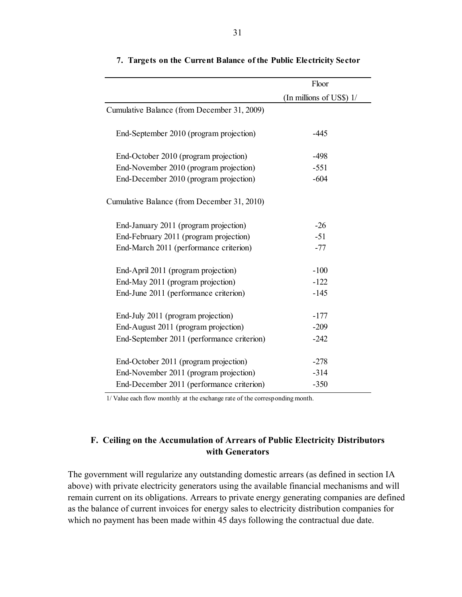|                                             | Floor                    |
|---------------------------------------------|--------------------------|
|                                             | (In millions of US\$) 1/ |
| Cumulative Balance (from December 31, 2009) |                          |
| End-September 2010 (program projection)     | $-445$                   |
| End-October 2010 (program projection)       | $-498$                   |
| End-November 2010 (program projection)      | $-551$                   |
| End-December 2010 (program projection)      | $-604$                   |
| Cumulative Balance (from December 31, 2010) |                          |
| End-January 2011 (program projection)       | $-26$                    |
| End-February 2011 (program projection)      | $-51$                    |
| End-March 2011 (performance criterion)      | $-77$                    |
| End-April 2011 (program projection)         | $-100$                   |
| End-May 2011 (program projection)           | $-122$                   |
| End-June 2011 (performance criterion)       | $-145$                   |
| End-July 2011 (program projection)          | $-177$                   |
| End-August 2011 (program projection)        | $-209$                   |
| End-September 2011 (performance criterion)  | $-242$                   |
| End-October 2011 (program projection)       | $-278$                   |
| End-November 2011 (program projection)      | $-314$                   |
| End-December 2011 (performance criterion)   | $-350$                   |

#### **7. Targets on the Current Balance of the Public Electricity Sector**

1/ Value each flow monthly at the exchange rate of the corresponding month.

### **F. Ceiling on the Accumulation of Arrears of Public Electricity Distributors with Generators**

The government will regularize any outstanding domestic arrears (as defined in section IA above) with private electricity generators using the available financial mechanisms and will remain current on its obligations. Arrears to private energy generating companies are defined as the balance of current invoices for energy sales to electricity distribution companies for which no payment has been made within 45 days following the contractual due date.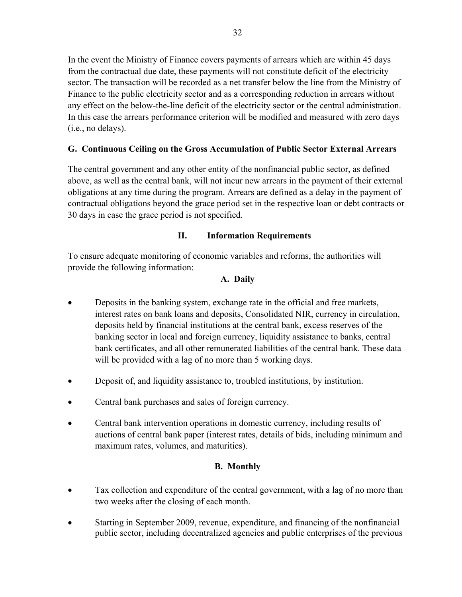In the event the Ministry of Finance covers payments of arrears which are within 45 days from the contractual due date, these payments will not constitute deficit of the electricity sector. The transaction will be recorded as a net transfer below the line from the Ministry of Finance to the public electricity sector and as a corresponding reduction in arrears without any effect on the below-the-line deficit of the electricity sector or the central administration. In this case the arrears performance criterion will be modified and measured with zero days (i.e., no delays).

# **G. Continuous Ceiling on the Gross Accumulation of Public Sector External Arrears**

The central government and any other entity of the nonfinancial public sector, as defined above, as well as the central bank, will not incur new arrears in the payment of their external obligations at any time during the program. Arrears are defined as a delay in the payment of contractual obligations beyond the grace period set in the respective loan or debt contracts or 30 days in case the grace period is not specified.

# **II. Information Requirements**

To ensure adequate monitoring of economic variables and reforms, the authorities will provide the following information:

# **A. Daily**

- Deposits in the banking system, exchange rate in the official and free markets, interest rates on bank loans and deposits, Consolidated NIR, currency in circulation, deposits held by financial institutions at the central bank, excess reserves of the banking sector in local and foreign currency, liquidity assistance to banks, central bank certificates, and all other remunerated liabilities of the central bank. These data will be provided with a lag of no more than 5 working days.
- Deposit of, and liquidity assistance to, troubled institutions, by institution.
- Central bank purchases and sales of foreign currency.
- Central bank intervention operations in domestic currency, including results of auctions of central bank paper (interest rates, details of bids, including minimum and maximum rates, volumes, and maturities).

# **B. Monthly**

- Tax collection and expenditure of the central government, with a lag of no more than two weeks after the closing of each month.
- Starting in September 2009, revenue, expenditure, and financing of the nonfinancial public sector, including decentralized agencies and public enterprises of the previous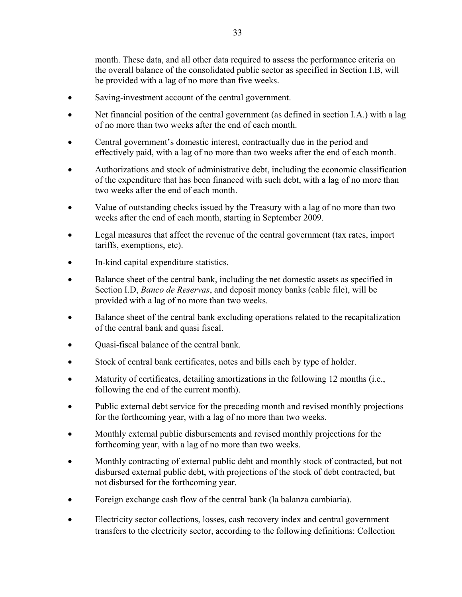month. These data, and all other data required to assess the performance criteria on the overall balance of the consolidated public sector as specified in Section I.B, will be provided with a lag of no more than five weeks.

- Saving-investment account of the central government.
- Net financial position of the central government (as defined in section I.A.) with a lag of no more than two weeks after the end of each month.
- Central government's domestic interest, contractually due in the period and effectively paid, with a lag of no more than two weeks after the end of each month.
- Authorizations and stock of administrative debt, including the economic classification of the expenditure that has been financed with such debt, with a lag of no more than two weeks after the end of each month.
- Value of outstanding checks issued by the Treasury with a lag of no more than two weeks after the end of each month, starting in September 2009.
- Legal measures that affect the revenue of the central government (tax rates, import tariffs, exemptions, etc).
- In-kind capital expenditure statistics.
- Balance sheet of the central bank, including the net domestic assets as specified in Section I.D, *Banco de Reservas*, and deposit money banks (cable file), will be provided with a lag of no more than two weeks.
- Balance sheet of the central bank excluding operations related to the recapitalization of the central bank and quasi fiscal.
- Quasi-fiscal balance of the central bank.
- Stock of central bank certificates, notes and bills each by type of holder.
- Maturity of certificates, detailing amortizations in the following 12 months (i.e., following the end of the current month).
- Public external debt service for the preceding month and revised monthly projections for the forthcoming year, with a lag of no more than two weeks.
- Monthly external public disbursements and revised monthly projections for the forthcoming year, with a lag of no more than two weeks.
- Monthly contracting of external public debt and monthly stock of contracted, but not disbursed external public debt, with projections of the stock of debt contracted, but not disbursed for the forthcoming year.
- Foreign exchange cash flow of the central bank (la balanza cambiaria).
- Electricity sector collections, losses, cash recovery index and central government transfers to the electricity sector, according to the following definitions: Collection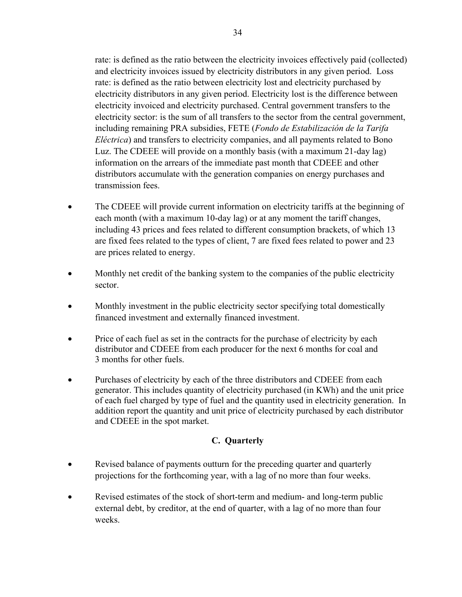rate: is defined as the ratio between the electricity invoices effectively paid (collected) and electricity invoices issued by electricity distributors in any given period. Loss rate: is defined as the ratio between electricity lost and electricity purchased by electricity distributors in any given period. Electricity lost is the difference between electricity invoiced and electricity purchased. Central government transfers to the electricity sector: is the sum of all transfers to the sector from the central government, including remaining PRA subsidies, FETE (*Fondo de Estabilización de la Tarifa Eléctrica*) and transfers to electricity companies, and all payments related to Bono Luz. The CDEEE will provide on a monthly basis (with a maximum 21-day lag) information on the arrears of the immediate past month that CDEEE and other distributors accumulate with the generation companies on energy purchases and transmission fees.

- The CDEEE will provide current information on electricity tariffs at the beginning of each month (with a maximum 10-day lag) or at any moment the tariff changes, including 43 prices and fees related to different consumption brackets, of which 13 are fixed fees related to the types of client, 7 are fixed fees related to power and 23 are prices related to energy.
- Monthly net credit of the banking system to the companies of the public electricity sector.
- Monthly investment in the public electricity sector specifying total domestically financed investment and externally financed investment.
- Price of each fuel as set in the contracts for the purchase of electricity by each distributor and CDEEE from each producer for the next 6 months for coal and 3 months for other fuels.
- Purchases of electricity by each of the three distributors and CDEEE from each generator. This includes quantity of electricity purchased (in KWh) and the unit price of each fuel charged by type of fuel and the quantity used in electricity generation. In addition report the quantity and unit price of electricity purchased by each distributor and CDEEE in the spot market.

# **C. Quarterly**

- Revised balance of payments outturn for the preceding quarter and quarterly projections for the forthcoming year, with a lag of no more than four weeks.
- Revised estimates of the stock of short-term and medium- and long-term public external debt, by creditor, at the end of quarter, with a lag of no more than four weeks.